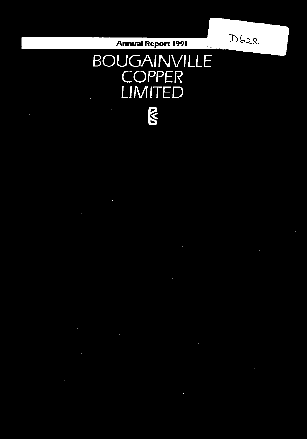# **Annual Report 1991**

 $D628.$ 

# **BOUGAINVILLE COPPER LIMITED**  $\overline{N}$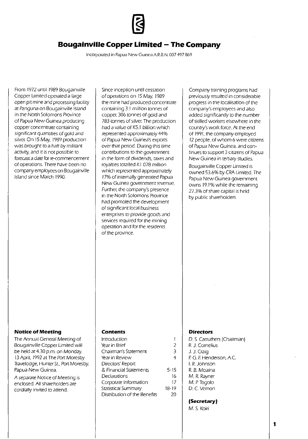

# **Bougainville Copper Limited - The Company**

**Incorporated in Papua New Guinea A.R.B.N.** *007* **497 869** 

From 1972 until 1989 Bougainville Copper Limited operated a large open pit mine and processing facility at Panguna on Bougainville Island in the North Solomons Province of Papua New Guinea producing copper concentrate containing significant quantities of gold and silver. On 15 May. 1989 production was brought to a halt by militant activity, and it is not possible to forecast a date for re-commencement of operations. There have been no company employees on Bougainville Island since March 1990.

Since inception until cessation of operations on 15 May. 1989 the mine had produced concentrate containing 3.1 million tonnes of copper. 306 tonnes of gold and 783 tonnes of silver. The production had a value of K5.1 billion which represented approximately 44% of Papua New Guinea's exports over that period. During this time contributions to the government in the forrn of dividends, taxes and royalties totalled K I 078 million which represented approximately 17% of internally generated Papua **New Guinea government revenue.**  Further. the cornpany's presence in the North Solomons Province had prornoted the developrnent of Significant local business enterprises to provide goods and services required for the mining operation and for the residents of the province.

Company training programs had previously resulted in considerable progress in the localisation of the company's employees and also added significantly to the number of skilled workers elsewhere in the country's work force. At the end of 1991, the company employed 12 people, of whom 6 were citizens of Papua New Guinea, and continues to support 3 citizens of Papua New Guinea in tertiary studies.

80ugainville Copper Limited is owned 53.6% by CRA Limited. The Papua New Guinea government owns 19.1 % while the remaining 27.3% of share capital is held by public shareholders.

#### **Notice of Meeting**

The Annual General Meeting of Bougainville Copper Limited will be held at 4.30 p.m. on Monday. 13 April, 1992 at The Port Moresby Travelodge, Hunter St., Port Moresby, Papua New Guinea.

A separate Notice of Meeting is enclosed. All shareholders are cordially invited to attend.

#### **Contents**

| Introduction                 |           |
|------------------------------|-----------|
| Year in Brief                | 2         |
| Chairman's Statement         | R         |
| Year in Review               | 4         |
| Directors' Report            |           |
| & Financial Statements       | $5 - 15$  |
| Declarations                 | 16        |
| Corporate Information        | 17        |
| Statistical Summary          | $18 - 19$ |
| Distribution of the Benefits |           |

#### **Directors**

| D. S. Carruthers (Chairman)<br>R. I. Cornelius |
|------------------------------------------------|
| J. J. Craig                                    |
| P. G. F. Henderson, A.C.                       |
| L.R. Johnson                                   |
| R. B. Moaina                                   |
| M. R. Rayner                                   |
| M. P. Togolo                                   |
| D. C. Vernon                                   |
|                                                |
| (Secretary)                                    |

M. S. Koiri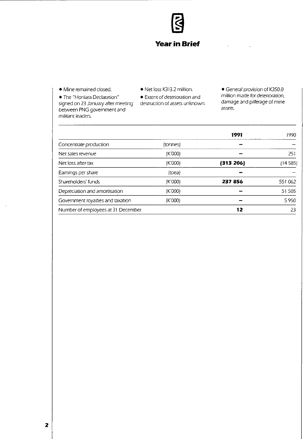

• Mine remained closed. • • Net loss K313.2 million.

• The "Honiara Declaration" • Extent of deterioration and<br>signed on 23 January after meeting destruction of assets unknown. signed on 23 January after meeting between PNG government and militant leaders.

• General provision of K350.0 million made for deterioration . damage and pilferage of mine assets.

|              | 1991      | 1990     |
|--------------|-----------|----------|
| (tonnes)     |           |          |
| (K'000)      |           | 251      |
| (K'000)      | (313 206) | 14 5 85) |
| $($ toea $)$ |           |          |
| (K'000)      | 237 856   | 551 062  |
| (K'000)      |           | 51 505   |
| (K'000)      |           | 5950     |
|              | 12        | 23       |
|              |           |          |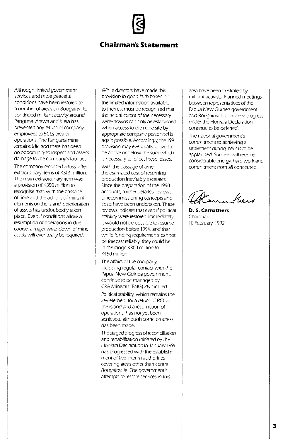## **Chairman's Statement**

Although limited government services and more peaceful conditions have been restored to a number of areas on Bougainville, continued militant activity around Panguna, Arawa and Kieta has prevented any return of company employees to BCL's area of operations. The Panguna mine remains idle and there has been no opportunity to inspect and assess damage to the company's facilities.

The company recorded a loss, after extraordinary items of K313 million. **The main extraordinary item was**  a provision of K350 million to recognise that. with the passage of time and the actions of militant **elements on the island, deterioration**  of assets has undoubtedly taken place. Even if conditions allow a resumption of operations in due **course, a major write-down of mine**  assets will eventually be required.

While directors have made this provision in good faith based on the limited Information available to them, it must be recognised that the actual extent of the necessary write-downs can only be established when access to the mine site by appropriate company personnel is again possible. Accordingly. the 1991 provision may eventually prove to be above or below the sum which is necessary to reflect these losses.

With the passage of time, the estimated cost of resuming production inevitably escalates. Since the preparation of the 1990 accounts, further detailed reviews of recommissioning concepts and costs have been undertaken. These reviews indicate that even if political stability were restored immediately it would not be possible to resume production before 1994, and that **while funding requirements cannot**  be forecast reliably. they could be in the range K300 million to K450 million.

The affairs of the company. including regular contact with the Papua New Guinea government, continue to be managed by CRA Minerals (PNG) Pty Limited.

Political stability, which remains the key element for a return of BCL to the island and a resumption of operations, has not yet been achieved, although some progress has been made.

The staged progress of reconciliation and rehabilitation initiated by the Honiara Declaration in January 1991 has progressed with the establish**ment of five interim authorities covering areas other than central**  Bougalnville. The government's **attempts to restore services in this** 

area have been frustrated by militant activists. Planned meetings between representatives of the Papua New Guinea government and Bougainville to review progress under the Honiara Declaration continue to be deferred.

The national government's commitment to achieving a settlement during 1992 is to be applauded. Success will require considerable energy. hard work and commitment from all concerned.

in a fless

**D. S. Carruthers**  Chairman 10 February, 1992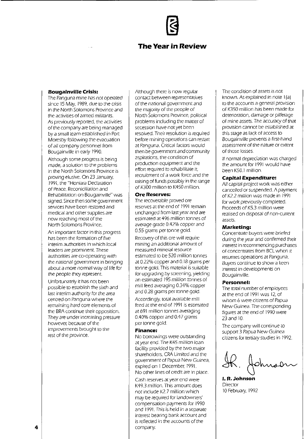# **The Year in Review**

#### **Bougainvil/e Crisis:**

The Panguna mine has not operated since 15 May, 1989, due to the crisis in the North Solomons Province and the activities of armed militants. As previously reported, the activities of the company are being managed by a small team established in Port Moresby following the evacuation of all company personnel from Bougainville in early 1990.

Although some progress is being made, a solution to the problems in the North Solomons Province is proving elusive. On 23 January, 1991, the "Honiara Declaration of Peace, Reconiciliation and Rehabilitation on Bougainville" was signed. Since then some government services have been restored and medical and other supplies are now reaching most of the North Solomons Province.

An important factor in this progress has been the formation of five **interim authorities in which local leaders are prominent. These**  authorities are co-operating with the national government in bringing about a more normal way of life for the people they represent.

Unfortunately it has not been possible to establish the sixth and last interim authority for the area centred on Panguna where the remaining hard core elements of the BRA continue their opposition. They are under increasing pressure however, because of the improvements brought to the rest of the province.

Although there is now regular contact between representatives of the national government and the majority of the people of North Solomons Province, political problems including the matter of secession have not yet been resolved. Their resolution is required before mining operations can restart at Panguna. Critical factors would then be government and community aspirations, the condition of production equipment and the effort required to rehabilitate it, recruitment of a work force and the raising of funds possibly in the range of K300 million to K450 million.

#### **Ore Reserves:**

The recoverable proved ore reserves at the end of 1991 remain unchanged from last year and are estimated at 496 million tonnes of average grade 0.42% copper and 0.55 grams per tonne gold.

Recovery of this ore will require mining an additional amount of **measured mineral resource**  estimated to be 520 million tonnes at 0.22% copper and 0.18 grams per tonne gold. This material is suitable for upgrading by screening, yielding an estimated 195 million tonnes of mill feed averaging 0.34% copper and 0.28 grams per tonne gold.

Accordingly, total available mill feed at the end of 1991 is estimated at 691 million tonnes averaging 0.40% copper and 0.47 grams per tonne gold.

#### **Finance:**

No borrowings were outstanding at year end. The K45 million loan facility provided by the two major shareholders, CRA Limited and the government of Papua New Guinea, expired on 1 December, 1991. No other lines of credit are in place.

**Cash** *reseNes* **at year end were**  K49.3 million. This amount does not include K2.7 million which may be required for landowners' compensation payments for 1990 and 1991. This is held in a separate interest bearing bank account and is reftected in the accounts of the company.

The condition of assets is not known. As explained in note 1(a) to the accounts a general provision of K350 million has been made for deterioration, damage or pilferage of mine assets. The accuracy of that provision cannot be established at this stage as lack of access to Bougainville prevents a first-hand assessment of the nature or extent of those losses.

If normal depreciation was charged the amount for 1991 would have been K50.1 million.

#### **Capital Expenditure:**

All capital project work was either cancelled or suspended. A payment of K2.2 million was made in 1991 for work previously completed. Proceeds of K5.3 million were realised on disposal of non-current **assets.** 

#### **Marketing:**

Concentrate buyers were briefed during the year and confirmed their **interest in recommencing purchases**  of concentrates from BCl when it resumes operations at Panguna. Buyers continue to show a keen interest in developments on Bougainville.

#### **Personnel:**

The total number of employees atthe end of 1991 was 12, of whom 6 were citizens of Papua New Guinea. The corresponding figures at the end of 1990 were 23 and 10.

The company will continue to support 3 Papua New Guinea citizens for tertiary studies in 1992.

**I. R. Johnson** 

**Director** 10 February, 1992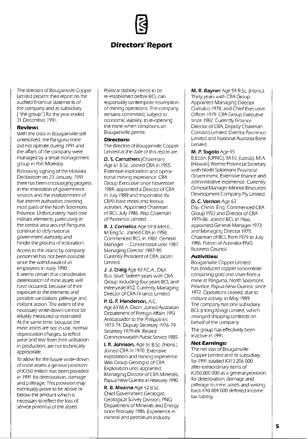# **Directors'Report**

The directors of Bougainville Copper Limited present their report on the audited financial statements of the company and its subsidiary !"the group") for the year ended 31 December, 199J.

#### **Review:**

With the crisis in Bougainville still unresolved. the Panguna mine did not operate during 1991 and the affairs of the company were managed by a small management group in Port Moresby.

Following signing of the Honiara Declaration on 23 January, 1991. there has been encouraging progress in the restoration of government services and the establishment of five interim authorities covering most parts of the North Solomons Province. Unfortunately. hard core militant elements. particularly in the central area around Panguna. continue to defy national government authority and hinder the process of restoration.

Access to the island by company personnel has not been possible since the withdrawal of all employees in early 1990. It seems certain that considerable deterioration of mine assets will have occurred. because of their exposure to the elements and possible vandalism. pilferage and militant action. The extent of the necessary write-down cannot be reliably measured or estimated. At the same time. because the **mine assets are not in use, normal**  depreciation charges. to reflect wear and tear from their utilisation in production. are not technically appropriate.

To allow for the future write-down of mine assets a general provision of K350 million has been provided in 1991 for deterioration. damage and pilferage. This provision may eventually prove to be above or below the amount which is necessary to reflect the loss of service potential of the assets.

Political stability needs to be re-established before BCl can responsibly contemplate resumption of mining operations. The company remains committed. subject to economic viability. to re-opening the mine when conditions on Bougainville permit.

#### **Directors:**

The directors of Bougainville Copper Limited at the date of this report are:

**D. S. Carruthers** (Chairman) Age 61 B.Sc. Joined CRA in 1955. Extensive exploration and operational mining experience. CRA Group Executive since November 1984. appointed a Director of CRA in July 1989 and responsible for CRA's base metal and ferrous activities. Appointed Chairman of BCl July 1986. Also Chairman of Pasminco Limited.

**R. J. Cornelius** Age 59 B.Met.E .. M.Eng.Se. Joined CRA in 1958. Commenced BCl in 1982. General  $M$ anager  $-$  Concentrator until 1987. Managing Director 1987-90. Currently President of CRA Japan Limited.

**J. J. Craig** Age 43 FCA. Dipl. Bus. Stud. Sixteen years with CRA Group including four years BCl and three years RTZ Currently Managing Director of CRA Finance Limited.

**P. G. F. Henderson,** A.C Age 63 M.A. Oxon. Joined Australian Department of Foreign Affairs 1951. Ambassador to the Philippines 1973-74. Deputy Secretary 1976-79. Secretary 1979-84. Retired Commonwealth Public Service 1985.

**I. R.** Johnson, Age 51 B.Se. (Hons.). Joined CRA in 1970. Extensive exploration and mining experience. Was Group Geologist of CRA Exploration until appointed Managing Director of CRA Minerals, Papua New Guinea, in February 1990.

**R. B. Moaina** Age 42 B.Sc. Chief Government Geologist. Geological SUNey Division. PNG Department of Minerals and Energy since February 1986. Experience in mineral and petroleum industry.

**M. R. Rayner** Age 54 B.Sc. (Hons.). Thirty years with CRA Group. Appointed Managing Director Comalco 1978. and Chief Executive Officer 1979. CRA Group Executive Since 1982. Currently Finance Director of CRA. Deputy Chairman Comalco Limited. Director Pasminco Limited and National Australia Bank Limited.

#### **M. P. Togolo** Age 45

B.Econ. (UPNG). M.Ee. (leeds). M.A. (Hawaii). Former Provincial Secretary with North Solomons Provincial Government. Extensive finance and administrative experience. Currently General Manager Mineral Resources Development Company Pty Limited.

#### **D. C. Vernon** Age 63

Dip. Chem. Eng. Commenced CRA Group 1953 and Director of CRA 1979-86. Joined BCl in 1966; appointed General Manager 1973 and Managing Director 1975. Chairman of BCl from 1979 to July 1986. Patron of Australia-PNG Business Council.

#### **Activities:**

Bougainville Copper Limited has produced copper concentrate containing gold and silver from a mine at Panguna, North Solomons Province. Papua New Guinea. since 1972. Operations ceased. due to militant activity. in May 1989. The company has one subsidiary. BCl (Hong Kong) Limited. which arranged shipping contracts on behalf of the company

The group has effectively been inactive in 1991.

### **Net Earnings:**

The net loss of Bougainville Copper Limited and its subsidiary for 1991 totalled K313 206 000 after extraordinary items of K350 000 000 as a general provision for deterioration. damage and pilferage to mine assets and writing back K40 804 000 deferred income tax liability.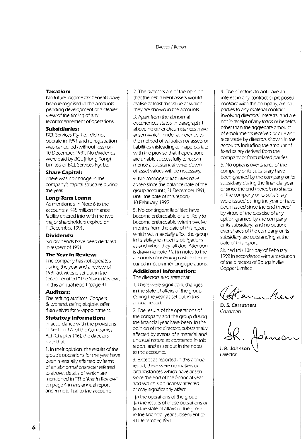#### **Taxation:**

No future income tax benefits have been recognised in the accounts pending development of a clearer view of the timing of any recommencement of operations.

#### **Subsidiaries:**

BCl Services Pty. ltd. did not operate in 1991 and its registration was cancelled (without loss) on 10 December, 1991. No dividends were paid by BCl (Hong Kong) Limited or BCl Services Pty. Ltd.

#### **Share Capital:**

There was no change in the company's capital structure during the year.

#### **Long-Term Loans:**

As mentioned in Note 6 to the accounts a K45 million finance facility entered into with the two major sharehOlders expired on I December, 1991.

#### **Dividends:**

No dividends have been declared in respect of 1991.

#### **The Year in Review:**

The company has not operated during the year and a review of 1991 activities is set out in the section entitled 'The Year in Review'; in this annual report (page 4).

#### **Auditors:**

The retiring auditors, Coopers & lybrand, being eligible, offer themselves for re-appointment.

#### **Statutory Information:**

In accordance with the provisions of Section 171 of the Companies Act (Chapter 146), the directors state that:

I. In their opinion, the results of the group's operations for the year have been materially affected by items of an abnormal character referred to above, details of which are **mentioned in 'The Year in Review"**  on page 4 in this annual report and in note I (a) to the accounts.

2. The directors are of the opinion that the net current assets would realise at least the value at which **they are shown in the accounts.** 

3. Apart from the abnormal occurrences stated in paragraph I above no other circumstances have arisen which render adherence to the method of valuation of assets or liabilities misleading or inappropriate with the proviso that if operations are unable successfully to recommence a substantial write-down of asset values will be necessary.

4. No contingent liabilities have arisen since the balance date of the group accounts, 31 December, 1991, until the date of this report, 10 February 1992.

5. No contingent liabilities have become enforceable or are likely to become enforceable within twelve months from the date of this report which will materially affect the group in its ability to meet its obligations as and when they fall due. Attention is drawn to note I (a) in notes to the **accounts concerning costs to be incurred in recommencing operations.** 

#### Additional Information:

The directors also state that:

I. There were significant changes in the state of affairs of the group during the year as set out in this **annual report.** 

2. The results of the operations of the company and the group during the financial year have been, in the opinion of the directors, substantially affected by events of a material and **unusual nature as contained in this**  report, and as set out in the notes **to the accounts.** 

3. Except as reported in this annual report, there were no matters or **circumstances which have arisen**  since the end of the financial year and which significantly affected or may significantly affect:

(i) the operations of the group (ii) the results of those operations or (iii) the state of affairs of the group in the financial year subsequent to 31 December, 1991.

4. The directors do not have an interest in any contract or proposed contract with the company, are not parties to any material contract involving directors' interests, and are not in receipt of any loans or benefits other than the aggregate amount of emoluments received or due and receivable by directors shown in the accounts including the amount of fixed salary derived from the company or from related parties.

5. No options over shares of the company or its subsidiary have been granted by the company or its subsidiary during the financial year or since the end thereof; no shares of the company or its subsidiary were issued during the year or have been issued since the end thereof by virtue of the exercise of any option granted by the company or its subsidiary; and no options over shares of the company or its subsidiary are outstanding at the date of this report.

Signed this 10th day of February, 1992 in accordance with a resolution of the directors of Bougainville Copper Limited.

**D. S. Carruthers**  Chairman

,A:O"~~ Director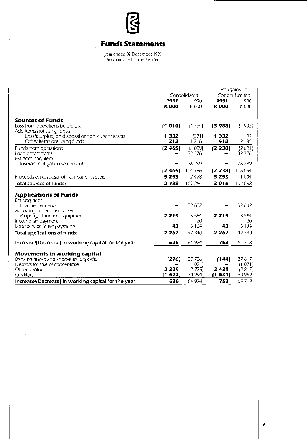

# **Funds Statements**

year ended 31 December 1991 Bougainville Copper Limited

|                                                                                                              | Consolidated         |                    |                          | Bougainville<br>Copper Limited |
|--------------------------------------------------------------------------------------------------------------|----------------------|--------------------|--------------------------|--------------------------------|
|                                                                                                              | 1991<br><b>K'000</b> | 1990<br>K'000      | 1991<br><b>K'000</b>     | 1990<br>K'000                  |
| <b>Sources of Funds</b>                                                                                      |                      |                    |                          |                                |
| Loss from operations before tax                                                                              | (4010)               | (4734)             | (3988)                   | (4903)                         |
| Add items not using funds<br>Loss/(Surplus) on disposal of non-current assets<br>Other items not using funds | 1332<br>213          | (371)<br>1216      | 1332<br>418              | 97<br>2185                     |
| Funds from operations<br>Loan dravvdowns<br>Extraordir ary item                                              | [2 465]              | (3889)<br>32 3 7 6 | (2 238)                  | (2621)<br>32376                |
| Insurance litigation settlement                                                                              |                      | 76 299             | $\overline{\phantom{0}}$ | 76299                          |
|                                                                                                              | (2465)               | 104 786            | (2238)                   | 106 054                        |
| Proceeds on disposal of non-current assets                                                                   | 5 2 5 3              | 2478               | 5 2 5 3                  | 1 0 0 4                        |
| Total sources of funds:                                                                                      | 2788                 | 107 264            | 3015                     | 107058                         |
| <b>Applications of Funds</b><br>Retiring debt                                                                |                      |                    |                          |                                |
| Loan repayments                                                                                              |                      | 32 602             |                          | 32 602                         |
| Acquiring non-current assets<br>Property, plant and equipment                                                | 2 2 1 9              | 3584<br>20         | 2 2 1 9                  | 3584<br>20                     |
| Income tax payment<br>Long service leave payments                                                            | 43                   | 6 1 3 4            | 43                       | 6 1 3 4                        |
| <b>Total applications of funds:</b>                                                                          | 2 2 6 2              | 42 340             | 2 2 6 2                  | 42 340                         |
| Increase/(Decrease) in working capital for the year                                                          | 526                  | 64 924             | 753                      | 64718                          |
|                                                                                                              |                      |                    |                          |                                |
| Movements in working capital<br>Bank balances and short-term deposits<br>Debtors for sale of concentrate     | [276]                | 37726<br>(1071)    | (144)                    | 37617<br>(1071)                |
| Other debtors<br>Creditors                                                                                   | 2329<br>1527         | (2725)<br>30 994   | 2431<br>(1 534)          | (2817)<br>30 989               |
| Increase/(Decrease) in working capital for the year                                                          | 526                  | 64 924             | 753                      | 64718                          |

 $\ddot{\phantom{a}}$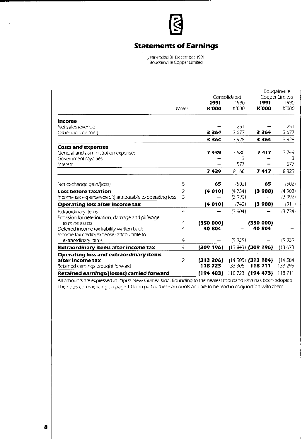

# **Statements of Earnings**

year ended 31 December. 1991 Bougainville Copper Limited

|                                                            |                |              | Consolidated |                     | Bougainville<br>Copper Limited |
|------------------------------------------------------------|----------------|--------------|--------------|---------------------|--------------------------------|
|                                                            |                | 1991         | 1990         | 1991                | 1990                           |
|                                                            | <b>Notes</b>   | <b>K'000</b> | K'000        | <b>K'000</b>        | K'000                          |
| Income                                                     |                |              |              |                     |                                |
| Net sales revenue                                          |                |              | 251          |                     | 251                            |
| Other income (net)                                         |                | 3364         | 3677         | 3364                | 3677                           |
|                                                            |                | 3 364        | 3928         | 3 3 6 4             | 3928                           |
| <b>Costs and expenses</b>                                  |                |              |              |                     |                                |
| General and administration expenses                        |                | 7439         | 7580         | 7417                | 7749                           |
| Government royalties                                       |                |              | 3            |                     | 3                              |
| Interest                                                   |                |              | 577          |                     | 577                            |
|                                                            |                | 7439         | 8160         | 7417                | 8329                           |
| Net exchange gain/(loss)                                   | 5              | 65           | (502)        | 65                  | (502)                          |
| <b>Loss before taxation</b>                                | 2              | (4010)       | (4734)       | (3988)              | (4903)                         |
| Income tax expense/(credit) attributable to operating loss | 3              |              | (3 992)      |                     | (3992)                         |
| <b>Operating loss after income tax</b>                     |                | (4010)       | (742)        | (3 988)             | (911)                          |
| Extraordinary items                                        | 4              |              | (3904)       |                     | (3734)                         |
| Provision for deterioration, damage and pilferage          |                |              |              |                     |                                |
| to mine assets                                             | 4              | (350 000)    |              | (350 000)           |                                |
| Deferred income tax liability written back                 | 4              | 40 804       |              | 40 804              |                                |
| Income tax credit/(expense) attributable to                |                |              |              |                     |                                |
| extraordinary items                                        | $\overline{4}$ |              | (9 939)      |                     | (9939)                         |
| Extraordinary items after income tax                       | 4              | (309 196)    |              | $(13843)$ (309 196) | (13673)                        |
| <b>Operating loss and extraordinary items</b>              |                |              |              |                     |                                |
| after income tax                                           | 2              | (313 206)    |              | $(14585)$ (313 184) | (14584)                        |
| Retained earnings brought forward                          |                | 118723       | 133 308      | 118711              | 133 295                        |
| <b>Retained earnings/(losses) carried forward</b>          |                | 194 483)     | 118723       | (194 473)           | 118711                         |

All amounts are expressed in Papua New Guinea kina. Rounding to the nearest thousand kina has been adopted. The notes commencing on page 10 form part of these accounts and are to be read in conjunction with them.

 $\alpha$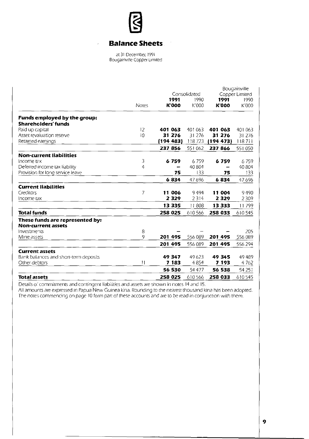

 $\epsilon$ 

# **Balance Sheets**

Ļ,

at 31 December. 1991 BougainviJle Copper limited

|                                       |              |              | Consolidated |              | Bougainville<br>Copper Limited |
|---------------------------------------|--------------|--------------|--------------|--------------|--------------------------------|
|                                       |              | 1991         | 1990         | 1991         | 1990                           |
|                                       | <b>Notes</b> | <b>K'000</b> | K'000        | <b>K'000</b> | K'000                          |
| Funds employed by the group:          |              |              |              |              |                                |
| <b>Shareholders' funds</b>            |              |              |              |              |                                |
| Paid up capital                       | 12           | 401 063      | 401 063      | 401 063      | 401 063                        |
| Asset revaluation reserve             | 10           | 31 276       | 31 276       | 31 276       | 31 276                         |
| Retained earnings                     |              | (194 483)    | 118723       | (194 473)    | 118711                         |
|                                       |              | 237 856      | 551 062      | 237 866      | 551 050                        |
| <b>Non-current liabilities</b>        |              |              |              |              |                                |
| Income tax                            | 3            | 6759         | 6759         | 6759         | 6759                           |
| Deferred income tax liability         | 4            |              | 40 804       |              | 40804                          |
| Provision for long service leave      |              | 75           | 133          | 75           | 133                            |
|                                       |              | 6834         | 47696        | 6834         | 47696                          |
| <b>Current liabilities</b>            |              |              |              |              |                                |
| Creditors                             | 7            | 11 006       | 9494         | 11 004       | 9490                           |
| Income tax                            |              | 2 3 2 9      | 2314         | 2 3 2 9      | 2309                           |
|                                       |              | 13335        | 11808        | 13333        | 11799                          |
| <b>Total funds</b>                    |              | 258 025      | 610566       | 258 033      | 610545                         |
| These funds are represented by:       |              |              |              |              |                                |
| <b>Non-current assets</b>             |              |              |              |              |                                |
| <b>Investments</b>                    | 8<br>9       |              |              |              | 205                            |
| Mine assets                           |              | 201 495      | 556 089      | 201 495      | 556 089                        |
|                                       |              | 201 495      | 556 089      | 201 495      | 556 294                        |
| <b>Current assets</b>                 |              |              |              |              |                                |
| Bank balances and short-term deposits |              | 49347        | 49623        | 49 345       | 49489                          |
| Other debtors                         | 11           | 7 183        | 4854         | 7193         | 4762                           |
|                                       |              | 56 530       | 54 477       | 56 538       | 54 251                         |
| <b>Total assets</b>                   |              | 258 025      | 610566       | 258 033      | 610545                         |

Details 0:' commitments and contingent liabilities and assets are shown in notes 14 and 15.

All amounts are expressed In Papua New Guinea kina, Rounding to the nearest thousand kina has been adopted. The notes commencing on page 10 form part of these accounts and are to be read in conjunction with thern.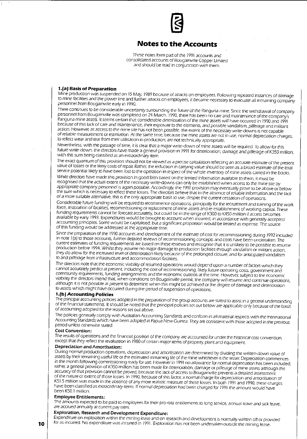# **Notes to the Accounts**

These notes form part of the 1991 accounts and consolidated accounts of Bougainville Copper Limited and should be read in conjunction with them.

## 1./aJ Basis of Preparation

Mine production was suspended on 15 May, 1989 because of attacks on employees. Following repeated instances of damage to mine facilities and the power line and further attacks on employees, it became necessary to evacuate all remaining company personnel from Bougainville early in 1990.

There continues to be considerable uncertainty surrounding the future of the Panguna mine. Since the withdrawal of company personnel from Bougainville was completed on 24 March, 1990, there has been no care and maintenance of the company's Panguna mine assets. It seems certain that considerable deterioration of the mine assets will have occurred in 1990 and 1991 because of this lack of care and maintenance, their exposure to the elements, and possible vandalism, pilferage and militant action. However, as access to the mine site has not been possible, the extent of the necessary write-downs is not capable of reliable measurement or estimation. At the same time, because the mine assets are not in use. normal depreciation charges, to reflect wear and tear from their utilisation in production, are not technically appropriate.

Nevertheless, with the passage of time, it is clear that a major write-down of mine assets will be required. To allow for this future write-down, the directors have made a general provision in 1991 for deterioration, damage and pilferage of K350 million, with this sum being classified as an extraordinary item.

The exact quantum of this provision should not be viewed as a precise calculation reflecting an accurate estimate of the present value of losses or the likely costs of repair. Rather, the reduction in carrying value should be seen as a broad estimate of the total service potential likely to have been lost to the operation in respect of the whole inventory of mine assets carried in the books.

While directors have made this provision in good faith based on the limited information available to them, it must be recognised that the actual extent of the necessary write-downs can only be established when access to the mine site by appropriate company personnel is again possible. Accordingly, the 1991 provision may eventually prove to be above or below the sum which is necessary to reflect these losses. The directors believe that in the absence of reliable information and the lack of a more suitable alternative, this is the only appropriate basis to use, despite the current cessation of operations.

Considerable future funding will be required to recommence operations, principally for the recruitment and training of the work force, restoration of facilities, recommissioning or replacement of mine assets and re-establishment of working capital. These funding requirements cannot be forecast accurately, but could be in the range of K300 to K450 million if access becomes available by early 1993. Expenditures would be brought to account when incurred, in accordance with generally accepted accounting principles. Some would be capitalised, but a significant proportion would be treated as expense. The source of this funding would be addressed at the appropriate time.

Since the preparation of the 1990 accounts and development of the estimate of cost for recommissioning during 1992 included in note 1(a) to those accounts, further detailed reviews of recommissioning concepts and costs have been undertaken. The current estimates of funding requirements are based on these reviews and recognise that it is unlikely to be possible to resume production before 1994. Whilst they assume no major damage to production facilities through vandalism or militant action, they do allow for the increased level of deterioration likely because of the prolonged closure, and for anticipated vandalism to and pilferage from infrastructure and accommodation facilities.

The directors note that the economic viability of resumed operations would depend upon a number of factors which they cannot accurately predict at present, including the cost of recommissioning, likely future operating costs, government and community requirements, funding arrangements and the economic outlook at the time. However, subject to the economic viability the directors intend that, when conditions on Bougainville permit the company will resume and continue operations, although it is not possible at present to determine when this might be achieved or the degree of damage and deterioration to assets which might have occurred during the period of suspension of operations.

#### 1.(bJ Accounting Policies

The principal accounting policies adopted in the preparation of the group accounts are stated to assist in a general understanding of the financial statements. It should be noted that the principal policies set out below are applicable only because of the basis of accounting adopted for the reasons set out above.

The policies generally comply with Australian Accounting Standards and conform in all material respects with the International Accounting Standards which have been adopted in Papua New Guinea. They are consistent with those adopted in the previous period unless otherwise stated.

#### **Cost Convention:**

The results of operations and the financial position of the company are accounted for under the historical cost convention except that they reflect the revaluation in 1980 of certain major items of property, plant and equipment.

#### **Depreciation and Amortisation:**

During normal production operations, depreciation and amortisation are determined by dividing the written down value of assets by their remaining useful life or the estimated remaining life of the mine whichever is the lesser. Depreciation commences in the month following commissioning ready for use. However in 1991 no allowance for normal depreciation has been included; rather, a general provision of K3S0 miJlion has been made for deterioration. damage or pilferage of mine assets although the accuracy of that provision cannot be proved, because the lack of access to Bougainville prevents a detailed assessment of the nature or extent of those losses. In 1990, because of this factor, a normal charge for depreciation and amortisation of KS1.5 million was made in the absence of any more realistic measure of these losses. In both 1991 and 1990. these charges have been classified as extraordinary items. If normal depreciation had been charged for 1991 the amount would have been KSO.l million.

#### **Employee Entitlements:**

The amounts expected to be paid to employees for their pro-rata entitlements to long seNice, annual leave and sick leave, are accrued annually at current pay rates.

### **Exploration, Research and Development Expenditure:**

Expenditure on exploration within the mining lease and on research and development is normally written off or provided **10 for as incurred. No expenditure was incurred in 1991. Exploration has not been undertaken outside the mining lease.**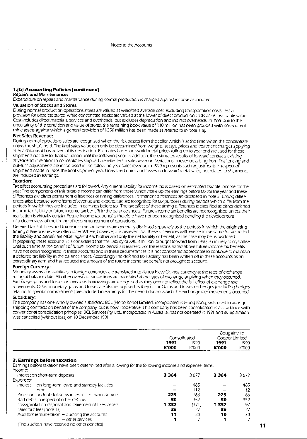#### 1.(b) Accounting Policies (continued)

#### **Repairs and Maintenance:**

Expenditure on repairs and maintenance during normal production is charged against income as incurred.

#### **Valuation of Stocks and Stores:**

During normal production operations stores are valued at weighted average cost, excluding transportation costs, less a provision for obsolete stores, while concentrate stocks are valued at the lower of direct production costs or net realisable value. Cost includes direct materials, services and overheads, but excludes depreciation and indirect overheads. In 1991 due to the uncertainty of the condition and value of stores, the remaining book value of K 10 miJlion has been grouped with non-current mine assets against which a general provision of K3S0 million has been made as referred to in note J [a).

#### **Net Sales Revenue:**

During normal operations sales are recognised when the risk passes from the seJler which is at the time when the concentrate enters the ship's hold. The final sales value can only be determined from weights, assays, prices and treatment charges applying after a shipment has arrived at its destination. Estimates based on world metal prices ruling up to year end are used for those shipments not due for final valuation until the following year. In addition, the estimated results of forward contracts existing at year end in relation to concentrates shipped are reflected in sales revenue. Variations in revenue arising from final pricing and out-turn adjustments are recognised in the following year. Sales revenue in 1990 represents such adjustments in respect of Shipments made in 1989, the final shipment year. Unrealised gains and losses on forward metal sales, not related to shipments, are included in earnings.

#### **Taxation:**

 $\sim 10$ 

Tax effect accounting procedures are followed. Any current liability for income tax is based on estimated taxable income for the year. The cornponents of this taxable income can differ from those which make up the earnings before tax for the year and these differences ere either permanent differences or timing differences. Permanent differences are disclosed in note 3. Timing differences arise because some items of revenue and expenditure are recognised for tax purposes during periods which differ from the periods in which they are included in earnings before tax. The tax effect of these timing differences is classified as either deferred income tax I ability or future income tax benefit in the balance sheets. Future income tax benefits are not recognised unless their realisation is virtually certain. Future income tax benefits therefore have not been recognised pending the development of a clearer view of the timing of recommencement of operations.

Deferred tax liabilities and future income tax benefits are generally disclosed separately as the periods in which the originating timing differences reverse often differ. Where, however, it is believed that these differences will reverse in the same future period. the liability and benefit are offset against each other and only the net liability or benefit, as the case may be, is disclosed. In preparing these accounts, it is considered that the liability of K40.8 million, brought forward from 1990, is unlikely to crystaJlise until such tirne as the benefit of future income tax benefits is realised. For the reasons stated above future income tax benefits have not been recognised in these accounts and in these circumstances it is nor considered appropriate to continue to maintain a deferred tax liability in the balance sheet. Accordingly the deferred tax liab/ility has been written off in these accounts as an extraordinary item and has reduced the amount of the future income tax benefit not brought to account.

#### **Foreign Currency:**

Monetary assets and liabilities in foreign currencies are translated into Papua New Guinea currency at the rates of exchange ruling at bal,mce date. All other overseas transactions are translated at the rates of exchange applying when they occurred. Exchange g.3ins and losses on overseas borrowings are recognised as they occur to reflect the full effect of eXChange rate movements. Other monetary gains and losses are also recognised as they occur. Gains and losses on hedges (excluding hedges relating to specific commitments) are included in earnings for the period during which the eXChange rate movements occurred. **Subsidiary:** 

The company has one wholJy owned subsidiary. BCl [Hong Kong) limited, incorporated in Hong Kong, was used to arrange shipping contracts on behalf of the company, but is now inoperative. This company has been consolidated in accordance with conventional consolidation principles. BCl Services Pty. ltd., rncorporated rn Australia, has not operated in 1991 and its registratron was cancelled [without loss) on 10 December, 1991.

|                                                                                                                                         | Consolidated  |                | <b>Bougainville</b><br>Copper Limited |               |
|-----------------------------------------------------------------------------------------------------------------------------------------|---------------|----------------|---------------------------------------|---------------|
|                                                                                                                                         | 1991<br>K'000 | 1990<br>K'000  | 1991<br>K'000                         | 1990<br>K'000 |
| 2. Earnings before taxation<br>Earnings before taxation have been determined after allowing for the following income and expense items: |               |                |                                       |               |
| Income:                                                                                                                                 |               |                |                                       |               |
| Interest on short-term deposits                                                                                                         | 3364          | 3677           | 3364                                  | 3677          |
| Expenses:                                                                                                                               |               |                |                                       |               |
| Interest - on long-term loans and standby facilities                                                                                    |               | 465            |                                       | 465           |
| $-$ other                                                                                                                               |               | 112            |                                       | 112           |
| Provision for doubtful debts in respect of other debtors                                                                                | 225           | 163            | 225                                   | 163           |
| Bad debts in respect of other debtors                                                                                                   | 50            | 352            | 50                                    | 352           |
| Loss/(profit) on disposal and retirement of fixed assets                                                                                | 1332          | (371)          | 1332                                  | 97            |
| Directors' fees (note 13)                                                                                                               | 36            | 27             | 36                                    | 27            |
| Auditors' remuneration - auditing the accounts                                                                                          | 11            | 30             | 10                                    | 30            |
| - other services                                                                                                                        |               | $\overline{7}$ |                                       |               |
| (The auditors have received no other benefits)                                                                                          |               |                |                                       |               |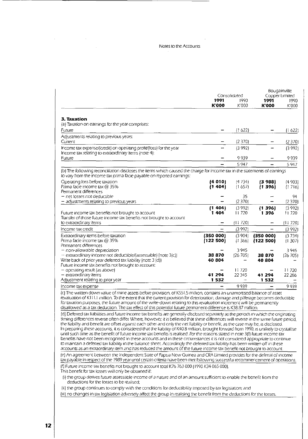#### Notes to the Accounts

 $\sim$ 

 $\label{eq:2.1} \begin{split} \mathcal{L}_{\text{max}}(\mathbf{r}) & = \mathcal{L}_{\text{max}}(\mathbf{r}) \mathcal{L}_{\text{max}}(\mathbf{r}) \,, \end{split}$ 

|                                                                                                                                                                                                                                                                                                                                                                                                                                                                                                                                                                                                                                                                                                                                                                                                                                                                                                                                                                                                                                                                                               |                 |                      |                          | Bougainville           |
|-----------------------------------------------------------------------------------------------------------------------------------------------------------------------------------------------------------------------------------------------------------------------------------------------------------------------------------------------------------------------------------------------------------------------------------------------------------------------------------------------------------------------------------------------------------------------------------------------------------------------------------------------------------------------------------------------------------------------------------------------------------------------------------------------------------------------------------------------------------------------------------------------------------------------------------------------------------------------------------------------------------------------------------------------------------------------------------------------|-----------------|----------------------|--------------------------|------------------------|
|                                                                                                                                                                                                                                                                                                                                                                                                                                                                                                                                                                                                                                                                                                                                                                                                                                                                                                                                                                                                                                                                                               | 1991            | Consolidated<br>1990 |                          | Copper Limited<br>1990 |
|                                                                                                                                                                                                                                                                                                                                                                                                                                                                                                                                                                                                                                                                                                                                                                                                                                                                                                                                                                                                                                                                                               | <b>K'000</b>    | K'000                | 1991<br><b>K000</b>      | K'000                  |
|                                                                                                                                                                                                                                                                                                                                                                                                                                                                                                                                                                                                                                                                                                                                                                                                                                                                                                                                                                                                                                                                                               |                 |                      |                          |                        |
| 3. Taxation                                                                                                                                                                                                                                                                                                                                                                                                                                                                                                                                                                                                                                                                                                                                                                                                                                                                                                                                                                                                                                                                                   |                 |                      |                          |                        |
| (a) Taxation on earnings for the year comprises:                                                                                                                                                                                                                                                                                                                                                                                                                                                                                                                                                                                                                                                                                                                                                                                                                                                                                                                                                                                                                                              |                 |                      |                          |                        |
| Future                                                                                                                                                                                                                                                                                                                                                                                                                                                                                                                                                                                                                                                                                                                                                                                                                                                                                                                                                                                                                                                                                        |                 | (1622)               |                          | (1622)                 |
| Adjustments relating to previous years:<br>Current                                                                                                                                                                                                                                                                                                                                                                                                                                                                                                                                                                                                                                                                                                                                                                                                                                                                                                                                                                                                                                            |                 | (2370)               |                          | (2370)                 |
| Income tax expense/(credit) on operating profit/(loss) for the year                                                                                                                                                                                                                                                                                                                                                                                                                                                                                                                                                                                                                                                                                                                                                                                                                                                                                                                                                                                                                           |                 | (3992)               |                          | (3992)                 |
| Income tax relating to extraordinary items (note 4):                                                                                                                                                                                                                                                                                                                                                                                                                                                                                                                                                                                                                                                                                                                                                                                                                                                                                                                                                                                                                                          |                 |                      |                          |                        |
| Future                                                                                                                                                                                                                                                                                                                                                                                                                                                                                                                                                                                                                                                                                                                                                                                                                                                                                                                                                                                                                                                                                        |                 | 9939                 |                          | 9939                   |
|                                                                                                                                                                                                                                                                                                                                                                                                                                                                                                                                                                                                                                                                                                                                                                                                                                                                                                                                                                                                                                                                                               |                 | 5 9 4 7              |                          | 5947                   |
| (b) The following reconciliation discloses the items which caused the charge for income tax in the statements of earnings<br>to vary from the income tax prima facie payable on reported earnings:                                                                                                                                                                                                                                                                                                                                                                                                                                                                                                                                                                                                                                                                                                                                                                                                                                                                                            |                 |                      |                          |                        |
| Operating loss before taxation                                                                                                                                                                                                                                                                                                                                                                                                                                                                                                                                                                                                                                                                                                                                                                                                                                                                                                                                                                                                                                                                | (4010)          | (4 734)              | (3988)                   | (4903)                 |
| Prima facie income tax @ 35%                                                                                                                                                                                                                                                                                                                                                                                                                                                                                                                                                                                                                                                                                                                                                                                                                                                                                                                                                                                                                                                                  | (1404)          | (1657)               | (1396)                   | (1716)                 |
| Permanent differences<br>- net losses not deductible                                                                                                                                                                                                                                                                                                                                                                                                                                                                                                                                                                                                                                                                                                                                                                                                                                                                                                                                                                                                                                          |                 | 35                   |                          | 94                     |
| — adjustments relating to previous years                                                                                                                                                                                                                                                                                                                                                                                                                                                                                                                                                                                                                                                                                                                                                                                                                                                                                                                                                                                                                                                      |                 | (2370)               |                          | (2370)                 |
|                                                                                                                                                                                                                                                                                                                                                                                                                                                                                                                                                                                                                                                                                                                                                                                                                                                                                                                                                                                                                                                                                               | ${1404}$        | (3992)               | (1396)                   | (3992)                 |
| Future income tax benefits not brought to account                                                                                                                                                                                                                                                                                                                                                                                                                                                                                                                                                                                                                                                                                                                                                                                                                                                                                                                                                                                                                                             | 1404            | 11720                | 1396                     | 11720                  |
| Transfer of those future income tax benefits not brought to account<br>to extraordinary items                                                                                                                                                                                                                                                                                                                                                                                                                                                                                                                                                                                                                                                                                                                                                                                                                                                                                                                                                                                                 |                 | (11 720)             |                          |                        |
| Income tax credit                                                                                                                                                                                                                                                                                                                                                                                                                                                                                                                                                                                                                                                                                                                                                                                                                                                                                                                                                                                                                                                                             |                 | (3992)               | $\overline{\phantom{0}}$ | (11720)                |
|                                                                                                                                                                                                                                                                                                                                                                                                                                                                                                                                                                                                                                                                                                                                                                                                                                                                                                                                                                                                                                                                                               | (350000)        | (3904)               | (350 000)                | (3992)                 |
| Extraordinary items before taxation<br>Prima facie income tax @ 35%                                                                                                                                                                                                                                                                                                                                                                                                                                                                                                                                                                                                                                                                                                                                                                                                                                                                                                                                                                                                                           | (122 500)       | (1366)               | (122 500)                | (3734)<br>(1307)       |
| Permanent differences                                                                                                                                                                                                                                                                                                                                                                                                                                                                                                                                                                                                                                                                                                                                                                                                                                                                                                                                                                                                                                                                         |                 |                      |                          |                        |
| - non-allowable depreciation                                                                                                                                                                                                                                                                                                                                                                                                                                                                                                                                                                                                                                                                                                                                                                                                                                                                                                                                                                                                                                                                  |                 | 3 945                |                          | 3945                   |
| $-$ extraordinary income not deductible/(assessable) (note $3(c)$ )<br>Write back of prior year deferred tax liability (note 3 (d))                                                                                                                                                                                                                                                                                                                                                                                                                                                                                                                                                                                                                                                                                                                                                                                                                                                                                                                                                           | 38 870<br>40804 | (26 705)             | 38 870<br>40804          | (26 705)               |
| Future income tax benefits not brought to account:                                                                                                                                                                                                                                                                                                                                                                                                                                                                                                                                                                                                                                                                                                                                                                                                                                                                                                                                                                                                                                            |                 |                      |                          |                        |
| - operating result (as above)                                                                                                                                                                                                                                                                                                                                                                                                                                                                                                                                                                                                                                                                                                                                                                                                                                                                                                                                                                                                                                                                 |                 | 11720                |                          | 11720                  |
| - extraordinary items                                                                                                                                                                                                                                                                                                                                                                                                                                                                                                                                                                                                                                                                                                                                                                                                                                                                                                                                                                                                                                                                         | 41 294<br>1 532 | 22 3 45              | 41 294                   | 22 286                 |
| Adjustment relating to prior year                                                                                                                                                                                                                                                                                                                                                                                                                                                                                                                                                                                                                                                                                                                                                                                                                                                                                                                                                                                                                                                             |                 | 9939                 | 1 532                    |                        |
| Income tax expense                                                                                                                                                                                                                                                                                                                                                                                                                                                                                                                                                                                                                                                                                                                                                                                                                                                                                                                                                                                                                                                                            |                 |                      |                          | 9939                   |
| (c) The written down value of mine assets before provision, of K551.5 million, contains an unamortised balance of asset<br>revaluation of K111.1 million. To the extent that the current provision for deterioration, damage and pilferage becomes deductible<br>for taxation purposes, the future amount of the write-down relating to this revaluation increment will be permanently<br>disallowed as a tax deduction. The tax effect of this potential future permanent difference is K38.87 million.                                                                                                                                                                                                                                                                                                                                                                                                                                                                                                                                                                                      |                 |                      |                          |                        |
| (d) Deferred tax liabilities and future income tax benefits are generally disclosed separately as the periods in which the originating<br>timing differences reverse often differ Where, however, it is believed that these differences will reverse in the same future period,<br>the liability and benefit are offset against each other and only the net liability or benefit, as the case may be, is disclosed.<br>In preparing these accounts, it is considered that the liability of K40.8 million, brought forward from 1990, is unlikely to crystallise<br>until such time as the benefit of future income tax benefits is realised. For the reasons stated in note 3(f) future income tax<br>benefits have not been recognised in these accounts and in these circumstances it is not considered appropriate to continue<br>to maintain a deferred tax liability in the balance sheet. Accordingly the deferred tax liability has been written off in these<br>accounts as an extraordinary item and has reduced the amount of the future income tax benefit not brought to account. |                 |                      |                          |                        |
| (e) An agreement between the Independent State of Papua New Guinea and CRA Limited provides for the deferral of income<br>tax payable in respect of the 1989 year until certain criteria have been met following successful recommencement of operations.                                                                                                                                                                                                                                                                                                                                                                                                                                                                                                                                                                                                                                                                                                                                                                                                                                     |                 |                      |                          |                        |
| (f) Future income tax benefits not brought to account total K76 763 000 (1990 K34 065 000).<br>This benefit for tax losses will only be obtained if:                                                                                                                                                                                                                                                                                                                                                                                                                                                                                                                                                                                                                                                                                                                                                                                                                                                                                                                                          |                 |                      |                          |                        |
| (i) the group derives future assessable income of a nature and of an amount sufficient to enable the benefit from the<br>deductions for the losses to be realised;                                                                                                                                                                                                                                                                                                                                                                                                                                                                                                                                                                                                                                                                                                                                                                                                                                                                                                                            |                 |                      |                          |                        |
| (ii) the group continues to comply with the conditions for deductibility imposed by tax legislation; and                                                                                                                                                                                                                                                                                                                                                                                                                                                                                                                                                                                                                                                                                                                                                                                                                                                                                                                                                                                      |                 |                      |                          |                        |
| (iii) no changes in tax legislation adversely affect the group in realising the benefit from the deductions for the losses.                                                                                                                                                                                                                                                                                                                                                                                                                                                                                                                                                                                                                                                                                                                                                                                                                                                                                                                                                                   |                 |                      |                          |                        |
|                                                                                                                                                                                                                                                                                                                                                                                                                                                                                                                                                                                                                                                                                                                                                                                                                                                                                                                                                                                                                                                                                               |                 |                      |                          |                        |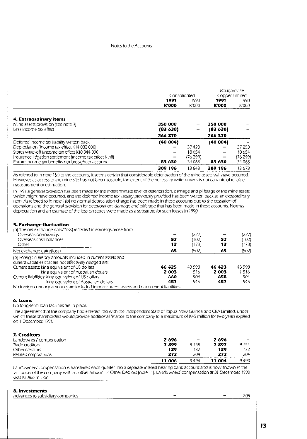#### Notes to the Accounts

|                                                           |              |          |              | Bougainville   |
|-----------------------------------------------------------|--------------|----------|--------------|----------------|
|                                                           | Consolidated |          |              | Copper Limited |
|                                                           | 1991         | 1990     | 1991         | 1990           |
|                                                           | <b>K'000</b> | K'000    | <b>K'000</b> | K'000          |
| 4. Extraordinary items                                    |              |          |              |                |
| Mine assets provision (see note 9)                        | 350 000      |          | 350 000      |                |
| Less income tax effect                                    | (83 630)     |          | (83 630)     |                |
|                                                           | 266 370      |          | 266 370      |                |
| Deferred income tax hability written back                 | (40 804)     |          | (40 804)     |                |
| Depreciation (income tax effect K14 082 000)              |              | 37423    |              | 37 253         |
| Stores write-off (income tax effect K10 044 000)          |              | 18654    |              | 18654          |
| Insurance litigation settlement (income tax effect K nil) | -            | (76 299) |              | (76 299)       |
| Future income tax benefits not brought to account         | 83 630       | 34 065   | 83 630       | 34065          |
|                                                           | 309 196      | 13843    | 309 196      | 13673          |

As referred to in note 1 (aj to the accounts, it seems certain that considerable deterioration of the mine assets will have occurred. However, as, access to the mine site has not been possible, the extent of the necessary write-downs is not capable of reliable measurement or estimation.

In 1991 a general provision has been made for the indeterminate level of deterioration, damage and pilferage of the mine assets which migrt have occurred, and the deferred income tax liability previously provided has been written back as an extraordinary item. As referred to in note 1 (bJ no normal depreciation charge has been made in these accounts due to the cessation of operations '::Ind the general provision for deterioration, damage and pilferage that has been made in these accounts. Normal depreCiation and an estimate of the loss on stores were made as a substitute for such losses in 1990.

#### **5. Exchange fluctuation**

(a) The net exchange gain/(loss) reflected in earnings arose from:

| Overseas borrowings                                                                         |        | (227)   |        | (227) |
|---------------------------------------------------------------------------------------------|--------|---------|--------|-------|
| Overseas cash balances                                                                      | 52     | (1021   | 52     | 11021 |
| Other                                                                                       | 13     | (173)   | 13     | (173) |
| Net exchange gain/(loss)                                                                    | 65     | (502)   | 65     | (502) |
| (b) Foreign currency amounts included in current assets and                                 |        |         |        |       |
| current liabilities that are not effectively hedged are:                                    |        |         |        |       |
| Current assets: kina equivalent of US dollars                                               | 46 425 | 43 5 98 | 46 423 | 43598 |
| kina equivalent of Australian dollars                                                       | 2003   | 1516    | 2 003  | 1516  |
| Current liabilities: kina equivalent of US dollars                                          | 660    | 904     | 658    | 904   |
| kina equivalent of Australian dollars                                                       | 457    | 945     | 457    | 945   |
| No foreign currency amounts are included in non-current assets and non-current liabilities. |        |         |        |       |

#### **6. Loans**

No long-term loan facilities are in place.

The agreement that the company had entered Into with the Independent State of Papua New Guinea and CRA Limited, under which these shareholders would provide additional finance to the company to a maximum of K45 million for two years expired on 1 December, 1991.

| 7. Creditors             |        |                              |        |      |
|--------------------------|--------|------------------------------|--------|------|
| Landowners' compensation | 2 696  | $\qquad \qquad \blacksquare$ | 2696   |      |
| Trade creditors          | 7899   | 9158                         | 7897   | 9154 |
| Other creditors          | 139    | 132                          | 139    | 132. |
| Related corporations     | 272    | 204                          | 272    | 204  |
|                          | 11 006 | 9494                         | 11 004 | 9490 |

Landowner:;' compensation is transferred each quarter into a separate interest bearing bank account and is now shown in the accounts of the company with an offset amount in Other Debtors (note 11). Landowners' compensation at 31 December, 1990 was K1.466 million.

#### **8. Investnlents**

| ------------------                           |                |       |
|----------------------------------------------|----------------|-------|
| psidiary companies.<br>Advanc<br>. SUDS<br>. |                | DOC.  |
| _____                                        | . <b>. .</b> . | _____ |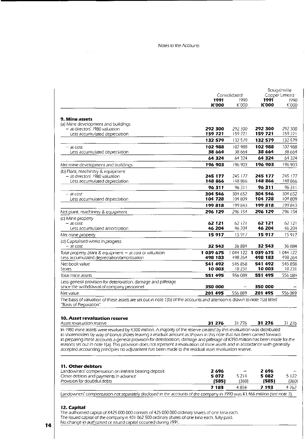÷,

 $\Delta \sim 10^{11}$ 

|                                                                                                                                                                                                                                                                |              | Bougainville<br>Copper Limited |                     |         |
|----------------------------------------------------------------------------------------------------------------------------------------------------------------------------------------------------------------------------------------------------------------|--------------|--------------------------------|---------------------|---------|
|                                                                                                                                                                                                                                                                | 1991         | Consolidated<br>1990           | 1991                | 1990    |
|                                                                                                                                                                                                                                                                | <b>K'000</b> | K'000                          | <b>K'000</b>        | K'000   |
|                                                                                                                                                                                                                                                                |              |                                |                     |         |
| 9. Mine assets                                                                                                                                                                                                                                                 |              |                                |                     |         |
| (a) Mine development and buildings                                                                                                                                                                                                                             |              |                                |                     |         |
| - at directors' 1980 valuation                                                                                                                                                                                                                                 | 292 300      | 292 300                        | 292300              | 292 300 |
| Less accumulated depreciation                                                                                                                                                                                                                                  | 159721       | 159721                         | 159721              | 159721  |
|                                                                                                                                                                                                                                                                | 132 579      | 132579                         | 132 579             | 132 579 |
| – at cost                                                                                                                                                                                                                                                      | 102 988      | 102988                         | 102 988             | 102 988 |
| Less accumulated depreciation                                                                                                                                                                                                                                  | 38 664       | 38 664                         | 38 664              | 38 6 64 |
|                                                                                                                                                                                                                                                                | 64 324       | 64 3 24                        | 64 324              | 64 3 24 |
| Net mine development and buildings                                                                                                                                                                                                                             | 196 903      | 196 903                        | 196 903             | 196 903 |
| (b) Plant, machinery & equipment                                                                                                                                                                                                                               |              |                                |                     |         |
| - at directors' 1980 valuation                                                                                                                                                                                                                                 | 245 177      | 245 177                        | 245 177             | 245 177 |
| Less accumulated depreciation                                                                                                                                                                                                                                  | 148866       | 148 866                        | 148 866             | 148 866 |
|                                                                                                                                                                                                                                                                | 96311        | 96311                          | 96311               | 96311   |
| – at cost                                                                                                                                                                                                                                                      | 304 546      | 304 652                        | 304 546             | 304 652 |
| Less accumulated depreciation                                                                                                                                                                                                                                  | 104 728      | 104 809                        | 104 728             | 104 809 |
|                                                                                                                                                                                                                                                                | 199818       | 199843                         | 199818              | 199843  |
| Net plant, machinery & equipment                                                                                                                                                                                                                               | 296 129      | 296 154                        | 296 129             | 296 154 |
| (c) Mine property                                                                                                                                                                                                                                              |              |                                |                     |         |
| - at cost                                                                                                                                                                                                                                                      | 62 121       | 62 121                         | 62 121              | 62 121  |
| Less accumulated amortisation                                                                                                                                                                                                                                  | 46 204       | 46 204                         | 46 204              | 46 204  |
| Net mine property                                                                                                                                                                                                                                              | 15917        | 15917                          | 15917               | 15917   |
| (d) Capitalised works in progress<br>– at cost                                                                                                                                                                                                                 | 32 543       | 36 884                         | 32 543              | 36 884  |
| Total property, plant & equipment - at cost or valuation                                                                                                                                                                                                       | 1039675      |                                | 1 044 122 1 039 675 | 1044122 |
| Less accumulated depreciation/amortisation                                                                                                                                                                                                                     | 498 183      | 498 264                        | 498 183             | 498 264 |
| Net book value                                                                                                                                                                                                                                                 | 541 492      | 545 858                        | 541 492             | 545 858 |
| <b>Stores</b>                                                                                                                                                                                                                                                  | 10 003       | 10231                          | 10 003              | 10 231  |
| Total mine assets                                                                                                                                                                                                                                              | 551 495      | 556 089                        | 551 495             | 556 089 |
| Less general provision for deterioration, damage and pilferage<br>since the withdrawal of company personnel                                                                                                                                                    | 350 000      | $\overline{\phantom{m}}$       | 350 000             |         |
| Net value                                                                                                                                                                                                                                                      | 201 495      | 556 089                        | 201 495             | 556 089 |
| The basis of valuation of these assets are set out in note 1(b) of the accounts and attention is drawn to note 1(a) titled                                                                                                                                     |              |                                |                     |         |
| "Basis of Preparation".                                                                                                                                                                                                                                        |              |                                |                     |         |
| 10. Asset revaluation reserve                                                                                                                                                                                                                                  |              |                                |                     |         |
| Asset revaluation reserve                                                                                                                                                                                                                                      | 31 276       | 31 276                         | 31 276              | 31 276  |
| In 1980 mine assets were revalued by K300 million. A majority of the reserve created by this revaluation was distributed                                                                                                                                       |              |                                |                     |         |
| to shareholders by way of bonus shares leaving a residual amount as shown in this note that has been carried forward.                                                                                                                                          |              |                                |                     |         |
| In preparing these accounts a general provision for deterioration, damage and pilferage of K350 million has been made for the<br>reasons set out in note 1(a). This provision does not represent a revaluation of mine assets and in accordance with generally |              |                                |                     |         |
| accepted accounting principles no adjustment has been made to the residual asset revaluation reserve.                                                                                                                                                          |              |                                |                     |         |
|                                                                                                                                                                                                                                                                |              |                                |                     |         |
| 11. Other debtors                                                                                                                                                                                                                                              |              |                                |                     |         |
| Landowners' compensation on interest bearing deposit                                                                                                                                                                                                           | 2 696        |                                | 2 696               |         |
|                                                                                                                                                                                                                                                                | 5 072        | 5 2 1 4                        | 5 082               | 5 1 2 2 |
| Other debtors and payments in advance                                                                                                                                                                                                                          |              | (360)                          | (585)               | (360)   |
| Provision for doubtful debts                                                                                                                                                                                                                                   | (585)        |                                |                     |         |
| Landowners' compensation not separately disclosed in the accounts of the company in 1990 was K1.466 million (see note 7).                                                                                                                                      | 7 183        | 4854                           | 7 193               | 4762    |

The authorised capital of K425 000 000 consists of 425 000 000 ordinary shares of one kina each. The issued capital of the company is 401 062 500 ordinary shares of one kina each, fully paid. No change in authorised or issued capital occurred during 1991.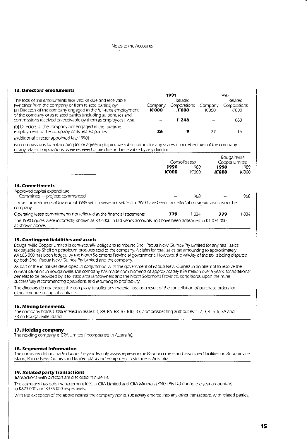Notes to the Accounts .

#### **13. Directors' emoluments**

|                                                                                                                                                                                                                                                                                                                                |                         | 1991                                             | 1990             |                                           |
|--------------------------------------------------------------------------------------------------------------------------------------------------------------------------------------------------------------------------------------------------------------------------------------------------------------------------------|-------------------------|--------------------------------------------------|------------------|-------------------------------------------|
| The total of the emoluments received, or due and receivable<br>(whether from the company or from related parties) by:<br>(a) Directors of the company engaged in the full-time employment<br>of the company or its related parties (including all bonuses and<br>commissions received or receivable by them as employees), was | Company<br><b>K'000</b> | Related<br>Corporations<br><b>K</b> 000<br>1 246 | Company<br>K 000 | Related<br>Corporations<br>K'000<br>l 063 |
| (b) Directors of the company not engaged in the full-time<br>employment of the company or its related parties                                                                                                                                                                                                                  | 36                      |                                                  |                  | 16                                        |

(Additional director appointed late 1990)

No commissions for subscribing for, or agreeing to procure subscriptions for any shares in or debentures of the company or any related corporations, were received or are due and receivable by any director.

|                                                                                                                                   | Consolidated         |               | Bougainville<br>Copper Limited |               |
|-----------------------------------------------------------------------------------------------------------------------------------|----------------------|---------------|--------------------------------|---------------|
|                                                                                                                                   | 1990<br><b>K'000</b> | 1989<br>K'000 | 1990<br><b>K'000</b>           | 1989<br>K'000 |
| 14. Commitments<br>Approved capital expenditure<br>Committed - projects commenced                                                 |                      | 968           |                                | 968           |
| Those commitments at the end of 1989 which were not settled in 1990 have been cancelled at no significant cost to the<br>company. |                      |               |                                |               |
| Operating lease commitments not reflected in the financial statements                                                             | 779                  | l 034         | 779                            | 1 0 3 4       |

The 1990 figures were incorrectly shown as K42 000 in last year's accounts and have been amended to K1 034 000 as shown above.

#### **15. Contingent liabilities and assets**

Bougainville Copper Limited is contractually obliged to reimburse Shell Papua New Guinea Pty Limited for any retail sales tax payable by Shell on petroleum products sold to the company. A claim for retail sales tax amounting to approximately K4 663 000 has been lodged by the North Solomons Provincial government. However, the validity of the tax is being disputed by both Shell Papua New Guinea Pry Limited and the company.

As part of tr e initiatives developed in conjunction with the government of Papua New Guinea in an attempt to resolve the current situation in Bougainville, the company has made commitments of approximately K34 million over 5 years, for additional benefits to be provided by it to lease area landowners and the North Solomons Province, conditional upon the mine successfully recommencing operations and returning to profitability.

The directors do not expect the company to suffer any material loss as a result of the cancellation of purchase orders for either revenue or capital contracts.

#### **16. Mining tenements**

The company holds 100% interest in leases: 1, B9, B6, B8, B7, B10, B3; and prospecting authorities: 1, 2, 3, 4, 5, 6, 7A and 7B on Bougainville Island.

#### 17. Holding company

The holding company is CRA Limited (incorporated in Australia).

#### **18. Segmental Information**

The company did not trade during the year. Its only assets represent the Panguna mine and associated facilities on Bougainville Island, Papua New Guinea and limited plant and equipment in storage in Australia.

#### **19. Related party transactions**

Transaction:; with directors are disclosed in note 13.

The company has paid management fees to CRA limited and CRA Minerals (PNG) Pry Ltd during the year amounting to K673 OOC and K335 000 respectively.

With the exception of the above neither the company nor its subsidiary entered into any other transactions with related parties.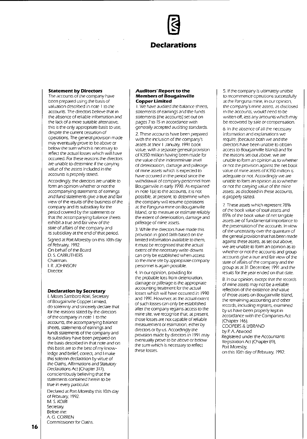# **Declarations**

#### **Statement by Directors**

The accounts of the company have been prepared using the basis of valuation described in note 1 to the accounts. The directors believe that in the absence of reliable information and the Jack of a more suitable alternative, this is the only appropriate basis to use, despite the current cessation of operations. The general provision made may eventually prove to be above or below the sum which is necessary to reflect the actual losses which will have occurred. For these reasons the directors are unable to determine if the carrying value of the assets included in the accounts is properly stated.

Accordingly, the directors are unable to form an opinion whether or not the accompanying statements of earnings and fund statements give a true and fair view of the results of the business of the company and its subsidiary for the period covered by the statements or that the accompanying balance sheets exhibit a true and fair view of the state of affairs of the company and its subsidiary at the end of that period.

Signed at Port Moresby on this 10th day of February, 1992. On behalf of the Board D. S. CARRUTHERS Chairman. I. R.JOHNSON Director.

#### **Declaration by Secretary**

J, Moses Samboro Koir;, Secretary of Bougainville Copper Limited, do solemnly and sincerely declare that for the reasons stated by the directors of the company in note 1 to the accounts, the accompanying balance sheets, statements of earnings and funds statements of the company and its subsidiary have been prepared on the basis described in that note and on this basis are to the best of my knowledge and belief, correct, and I make this solemn declaration by virtue of the Oaths, Affirmations and Statutory Declarations Act (Chapter 317), conscientiously believing that the statements contained herein to be true in every particular.

Declared at Port Moresby this 10th day of February, 1992. **M. S. KOIRI** Secretary. Before me: A. G. CORREN Commissioner for Oaths.

#### **Auditors' Report to the Members of Bougainville Copper Limited**

1. We have audited the balance sheets, statements of earnings and the funds statements (the accounts) set out on pages 7 to 15 in accordance with generally accepted auditing standards.

2. These accounts have been prepared with the inclusion of the company's assets attheir 1 January, 1991 book value, with a separate general provision of K3s0 million having been made for the value of the indeterminate level of deterioration, damage and pilferage of mine assets which is expected to have occurred in the period since the withdrawal of company personnel from Bougainville in early 1990. As explained in note 1 (a) to the accounts, it is not possible, at present, to determine when the company will resume operations at the Panguna mine on Bougainville Island, or to measure or estimate reliably the extent of deterioration, damage and pilferage of mine assets.

3. While the directors have made this provision in good faith based on the limited information available to them, it must be recognised that the actual extent of the necessary write-downs can only be established when access to the mine site by appropriate company personnel is again possible.

4. In our opinion, providing for the probable loss from deterioration, damage or pilferage is the appropriate accounting treatment for the actual losses which will have occurred in 1990 and 1991. However. as the actual extent of such losses can only be established after the company regains access to the mine site, we recognise that. at present. those losses are not capable of reliable measurement or estimation, either by directors or by us. Accordingly the provision made by directors in 1991 may eventually prove to be above or below the sum which is necessary to reflect these losses.

S. If the company is ultimately unable to recommence operations successfully at the Panguna mine, in our opinion, the company's mine assets. as disclosed in the accounts, would need to be written off, less any amounts which may be recovered by sale or compensation.

6. In the absence of all the necessary information and explanations we require, (because both we and the directors have been unable to obtain access to Bougainville Island) and for the reasons set out above, we are unable to form an opinion as to whether or not the provision against the net book value of mine assets of K350 million is adequate or not. Accordingly we are unable to form an opinion as to whether or not the carrying value of the mine assets. as disclosed in these accounts, is properly stated.

7. These assets which represent 78% of the book value of total assets and 85% of the book value of net tangible assets are of fundamental importance to the presentation of the accounts. In view of the uncertainty over the quantum of the general provision that has been made against these assets, as set out above, we are unable to form an opinion as to whether or not the accounts and group accounts give a true and fair view of the state of affairs of the company and the group as at 31 December, 1991 and the results for the year ended on that date.

8. In our opinion, except that the records of mine assets may not be a reliable reflection of the existence and value of those assets on Bougainville Island, the remaining accounting and other records, including registers, examined by us have been properly kept in accordance with the Companies Act (Chapter 146). COOPERS & LYBRAND by P A. Atwood Registered under the Accountants Registration Act (Chapter 89),

Port Moresby, on this 10th day of February, 1992.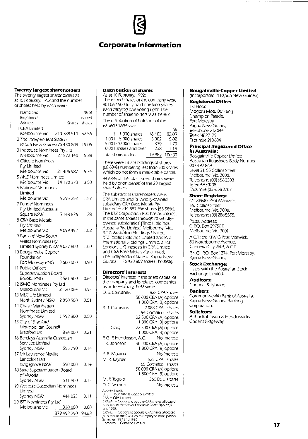## **Corporate Information**

#### **Twenty largest shareholders**

The twenty largest shareholders as at 10 February, 1992 and the number of shares held by each were:

| Name and                        |             | % of   |
|---------------------------------|-------------|--------|
| Registered                      |             | issued |
| Address                         | Shares      | shares |
| 1 CRA Limited                   |             |        |
| Melbourne Vic 210 788 514 52.56 |             |        |
| 2 The Independent State of      |             |        |
| Papua New Guinea 76 430 809     |             | 19.06  |
| 3 Indosuez Nominees Pty Ltd     |             |        |
| Melbourne Vic                   | 21 572 140  | 5.38   |
| 4 Citicorp Nominees             |             |        |
| Pty Limited                     |             |        |
| Melbourne Vic 21 406 987        |             | 5.34   |
| 5 ANZ Nominees Limited          |             |        |
| Melbourne Vic                   | 14 170 373  | 3.53   |
| 6 National Nominees             |             |        |
| Limited                         |             |        |
| Melbourne Vic                   | 6 295 252   | 1.57   |
|                                 |             |        |
| 7 Pendal Nominees               |             |        |
| Pty Limited Australia           | 5 148 836   |        |
| Square NSW                      |             | 1.28   |
| 8 CRA Base Metals               |             |        |
| Pty Limited                     |             |        |
| Meibourne Vic                   | 4099452     | 1.02   |
| 9 Bank of New South             |             |        |
| Wales Nominees Pty              |             |        |
| Limited Sydney NSW 4 027 800    |             | 1.00   |
| 10 Bougainville Copper          |             |        |
| Foundation                      |             |        |
| Port Moresby PNG                | 3600000     | 0.90   |
| 11 Public Officers              |             |        |
| Superannuation Board            |             |        |
| Boroko PNG                      | 2561500     | 0.64   |
| 12 ISMG Nominees Pty Ltd        |             |        |
| Melbourne Vic                   | 2 120 064   | 0.53   |
| 13 MLC Life Limited             |             |        |
| North Sydney NSW                | 2 050 500   | 0.51   |
| 14 Chase Manhattan              |             |        |
| Nominees Limited                |             |        |
| Sydney NSW                      | 1992300     | 0.50   |
| 15 City of Bradford             |             |        |
| Metropolitan Council            |             |        |
| Bradford UK                     | 836.000     | 0.21   |
| 16 Barclays Australia Custodian |             |        |
| Services Limited                |             |        |
| Sydney NSW                      | 555 790     | 0.14   |
| 17 Mr Lawrence Neville          |             |        |
| Lancelot Platt                  |             |        |
| Kingsgrove NSW 550 000          |             | 0.14   |
| 18 State Superannuation Board   |             |        |
| of Victoria                     |             |        |
| Sydney NSW                      | 511900      | 0.13   |
| 19 Westpac Custodian Nominees   |             |        |
| Limited                         |             |        |
| Sydney NSW                      | 444 033     | 0.11   |
| 20 ISIT Nominees Pty Ltd        |             |        |
| Melbourne Vic                   | 330 000     | 0.08   |
|                                 | 379 492 250 | 94.63  |
|                                 |             |        |

#### **Distribution of shares**

As at 10 February, 1992: The issued shares of the company were 401062500 fully paid one kina shares, each carrying one voting right. The number of shareholders was 19982. The distribution of holdings of the issued shares was: %

| $1 - 1000$ shares      | 16 403 | 82.09  |
|------------------------|--------|--------|
| 1001-5000 shares       | 3.002  | 15.02  |
| 5 001-10 000 shares    | 339    | 1.70   |
| 10 001 shares and over | 238    | 119    |
| Total shareholders     | 19982  | 100.00 |

There were 13713 holdings of shares 168.63%) numbering less than 500 shares which do not form a marketable parcel.

94.63% of the total Issued shares were held by or on behalf of the 20 largest shareholders.

The substantial shareholders were: CRA Limited and its wholly-owned subsidiary CRA Base Metals Pty Limited -- 214 887 966 shares (53.58%), The RTZ Corporation PLC has an interest In the same shares through its whollyowned subsidiaries' (Tinto Holdings Australia Pty. Limited, Melbourne, Vic., R.TZ. Australian Holdings Limited, RTZ Pacific Holdings Limited and RTZ International Holdings Limited, all of London, UK) interests in CRA Limited and CRA Base Metals Pty. limited; The Independent State of Papua New Guinea - 76 430 809 shares (19.06%).

#### Directors' interests

Directors' interests In the share capital of the company and its related companies as at 10 February, 1992 were: D. S. Carruthers 828 CRA Shares R. J. Cornelius 50000 CRA IAI options I 000 CRA IBI options 2 088 CRA shares 194 Comalco shares 22 500 CRA (A) options J. J. Craig 1 800 CRA (B) options 22 500 CRA (A) options 1 000 CRA (B) options P. G. F. Henderson, A.C. No interests I. R. Johnson 30 000 CRA (A) options R. B. Moaina M. R. Rayner M. P. Togolo D. C. Vernon Abbreviations 1 800 CRA (B) options No interests 525 CRA shares 65 Comalco shares 50000 CRA IAI options 1 800 CRA (B) options 360 BCl shares No interests BCL — Bougainville Copper Limited.<br>CRA — CRA Limited CRA (AJ - Options to acqUIre CRA shares allocated pursuant to the Senior Executive Share Plan 1987 and 1990 CRA (B) - Options to acquire CRA shares allocated

#### pursuant to the CRAGroup Employee Participation Schemes 1987 and 1990 Comalco - Comalco limited

#### **Bougainville Copper Limited**

(Incorporated in Papua New Guinea) **Registered Office:** 

1st Floor,

Mogoru Motu Building, Champion Parade, Port Moresby, Papua New Guinea. Telephone 212044 Telex NE22129 Facsimile 213634

#### **Principal Registered Office in Australia:**

Bougainville Copper Limited Australian Registered Body Number 007497869 level 31, 55 Collins Street, Melbourne, Vic. 3000. Telephone [0316583333 Telex AA30108 Facsimile 10316583707

#### **Share Registers:**

c/o KPMG Peat Marwick, 161 Collins Street, Melbourne, Vic. 3000. Telephone (03) 288 5555.

Postal Address: G.PO. Box 2975EE Melbourne, Vic. 3001.

A.C.T.: c/o KPMG Peat Marwick, 80 Northbourne Avenue, Canberra City 2601, A.C.T.

P.N.G.: P.O. Box 1274, Port Moresby, Papua New Guinea.

#### **Stock Exchange:**

Listed with the Australian Stock Exchange Limited.

**Auditors:**  Coopers & Lybrand.

#### **Bankers:**

Commonwealth Bank of Australia. Papua New Guinea Banking Corporation.

#### **Solicitors:**

Arthur Robinson & Hedderwicks. Gadens Ridgeway.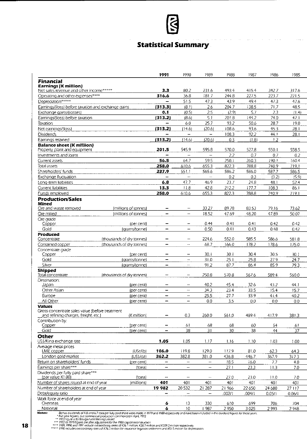# **Statistical Summary**

 $\mathcal{L}(\mathcal{A})$  ,  $\mathcal{L}(\mathcal{A})$  ,  $\mathcal{L}(\mathcal{A})$ 

 $\sim$   $\sim$ 

 $\tau$  .

. . . . .

 $\mathcal{L}$ 

|                                                                                        |                                                                                                                                                                | 1991                                                     | 1990                                          | 1989                     | 1988         | 1987         | 1986         | 1985                     |
|----------------------------------------------------------------------------------------|----------------------------------------------------------------------------------------------------------------------------------------------------------------|----------------------------------------------------------|-----------------------------------------------|--------------------------|--------------|--------------|--------------|--------------------------|
| <b>Financial</b>                                                                       |                                                                                                                                                                |                                                          |                                               |                          |              |              |              |                          |
| <b>Earnings (K million)</b>                                                            |                                                                                                                                                                |                                                          |                                               |                          |              |              |              |                          |
| Net sales revenue and other income*****                                                |                                                                                                                                                                | 3.3                                                      | 80.2                                          | 231.6                    | 493.4        | 415.4        | 342.7        | 317.6                    |
| Operating and other expenses****                                                       |                                                                                                                                                                | 316.6                                                    | 36.8                                          | 181.7                    | 244.8        | 227.5        | 223.7        | 221.5                    |
| Depreciation*****                                                                      |                                                                                                                                                                |                                                          | 51.5                                          | 47.3                     | 43.9         | 49.4         | 47.3         | 47.6                     |
| Earnings/(loss) before taxation and exchange gains                                     |                                                                                                                                                                | (313.3)                                                  | (8.1)                                         | 2.6                      | 204.7        | 138.5        | 71.7         | 48.5                     |
| Exchange gains/(losses)                                                                |                                                                                                                                                                | 0.1                                                      | (0.5)                                         | 2.5                      | (2.9)        | 5.7          | 2.3          | (1.4)                    |
| Earnings/(loss) before taxation                                                        |                                                                                                                                                                | (313.2)                                                  | (8.6)                                         | 5.1                      | 201.8        | 144.2        | 74.0         | 47.1                     |
| Taxation                                                                               |                                                                                                                                                                | -                                                        | 6.0                                           | 25.7                     | 93.2         | 50.6         | 28.7         | 19.0                     |
| Net earnings/(loss)                                                                    |                                                                                                                                                                | (313.2)                                                  | (14.6)                                        | (20.6)                   | 108.6        | 93.6         | 45.3         | 28.1                     |
| <b>Dividends</b>                                                                       |                                                                                                                                                                |                                                          | $\overline{\phantom{0}}$                      | $\overline{\phantom{0}}$ | 108.3        | 92.2         | 44.1         | 28.1                     |
| Earnings retained                                                                      |                                                                                                                                                                | ${313.2}$                                                | (14.6)                                        | (20.6)                   | 0.3          | (1.8)        | 1.2          | $\overline{\phantom{0}}$ |
| <b>Balance sheet (K million)</b><br>Property, plant and equipment                      |                                                                                                                                                                | 201.5                                                    | 545.9                                         | 595.8                    | 570.0        | 527.8        | 550.1        | 558.5                    |
| Investments and loans                                                                  |                                                                                                                                                                | -                                                        | $\qquad \qquad -$                             | $\overline{\phantom{0}}$ | 2.2          | 0.7          | 0.7          | 0.2                      |
| Current assets                                                                         |                                                                                                                                                                | 56.5                                                     | 64.7                                          | 59.5                     | 250.1        | 260.3        | 190.1        | 1604                     |
| Total assets                                                                           |                                                                                                                                                                | 258.0                                                    | 610.6                                         | 655.3                    | 822.3        | 788.8        | 740.9        | 719.1                    |
| Shareholders' funds                                                                    |                                                                                                                                                                | 237.9                                                    | 551.1                                         | 565.6                    | 586.2        | 586.0        | 587.7        | 586.5                    |
| Exchange fluctuation                                                                   |                                                                                                                                                                | $\qquad \qquad \blacksquare$                             | $\overline{\phantom{a}}$                      | $\overline{\phantom{0}}$ | 0.2          | 0.3          | (3.2)        | (5.9)                    |
| Long-term liabilities                                                                  |                                                                                                                                                                | 6.8                                                      | 47.7                                          | 46.9                     | 23.7         | 24.8         | 48.1         | 52.4                     |
| Current liabilities                                                                    |                                                                                                                                                                | 13.3                                                     | 11.8                                          | 42.8                     | 212.2        | 177.7        | 108.3        | 86.1                     |
| Funds employed                                                                         |                                                                                                                                                                | 258.0                                                    | 610.6                                         | 655.3                    | 822.3        | 788.8        | 740.9        | 719.1                    |
| <b>Production/Sales</b>                                                                |                                                                                                                                                                |                                                          |                                               |                          |              |              |              |                          |
| Mined                                                                                  |                                                                                                                                                                |                                                          |                                               |                          |              |              |              |                          |
| Ore and waste removed                                                                  | (millions of tonnes)                                                                                                                                           | $\overline{\phantom{m}}$                                 | $\overline{\phantom{m}}$                      | 33.27                    | 89.78        | 83.53        | 7916         | 73.62                    |
| Ore milled                                                                             | (millions of tonnes)                                                                                                                                           | $\qquad \qquad \blacksquare$                             | $\overline{\phantom{0}}$                      | 18.52                    | 47.69        | 48.20        | 47.89        | 50.07                    |
| Ore grade                                                                              |                                                                                                                                                                |                                                          |                                               |                          |              |              |              |                          |
| Copper<br>Gold                                                                         | (per cent)                                                                                                                                                     | $\qquad \qquad \blacksquare$<br>$\overline{\phantom{0}}$ | $\overline{\phantom{m}}$<br>$\qquad \qquad -$ | 0.44<br>0.50             | 0.41<br>0.41 | 0.41<br>0.43 | 0.42<br>0.48 | 0.42<br>0.42             |
| Produced                                                                               | (grams/tonne)                                                                                                                                                  |                                                          |                                               |                          |              |              |              |                          |
| Concentrate                                                                            | (thousands of dry tonnes)                                                                                                                                      | -                                                        | $\qquad \qquad -$                             | 224.6                    | 552.0        | 585.5        | 586.6        | 581.8                    |
| Contained copper                                                                       | (thousands of dry tonnes)                                                                                                                                      |                                                          | $\overline{\phantom{0}}$                      | 68.7                     | 166.0        | 178.2        | 178.6        | 175.0                    |
| Concentrate grade                                                                      |                                                                                                                                                                |                                                          |                                               |                          |              |              |              |                          |
| Copper                                                                                 | (per cent)                                                                                                                                                     |                                                          | -                                             | 30.1                     | 30.1         | 30.4         | 30.5         | 30.1                     |
| Gold                                                                                   | (grams/tonne)                                                                                                                                                  | -                                                        | $\overline{ }$                                | 31.0                     | 25.1         | 25.8         | 27.9         | 24.7                     |
| Silver                                                                                 | (grams/tonne)                                                                                                                                                  | $\overline{\phantom{0}}$                                 | $\overline{\phantom{0}}$                      | 91.2                     | 87.7         | 86.4         | 85.9         | 79.3                     |
| <b>Shipped</b>                                                                         |                                                                                                                                                                |                                                          |                                               |                          |              |              |              |                          |
| Total concentrate<br>Destination:                                                      | (thousands of dry tonnes)                                                                                                                                      |                                                          | $\overline{\phantom{m}}$                      | 250.8                    | 570.8        | 567.6        | 589.4        | 560.0                    |
| Japan                                                                                  | (per cent)                                                                                                                                                     | $\overline{\phantom{0}}$                                 |                                               | 40.2                     | 45.4         | 32.6         | 43.2         | 44.1                     |
| Other Asian                                                                            | (per cent)                                                                                                                                                     |                                                          | $\overline{\phantom{a}}$                      | 34.3                     | 23.4         | 33.5         | 15.4         | 15.7                     |
| Europe                                                                                 | (per cent)                                                                                                                                                     | $\qquad \qquad$                                          | $\qquad \qquad -$                             | 25.5                     | 27.7         | 33.9         | 41.4         | 40.2                     |
| All Other                                                                              | (per cent)                                                                                                                                                     | $\overline{\phantom{0}}$                                 | $\overline{\phantom{0}}$                      | 0.0                      | 3.5          | 0.0          | 0.0          | 0.0                      |
| <b>Values</b>                                                                          |                                                                                                                                                                |                                                          |                                               |                          |              |              |              |                          |
| Gross concentrate sales value (before treatment<br>and refining charges, freight, etc. | (K million)                                                                                                                                                    |                                                          | 0.3                                           | 260.0                    | 561.0        | 489.4        | 417.9        | 381.3                    |
| Contribution by:                                                                       |                                                                                                                                                                |                                                          |                                               |                          |              |              |              |                          |
| Copper                                                                                 | (per cent)                                                                                                                                                     |                                                          | 61                                            | 68                       | 68           | 60           | 54           | 61                       |
| Gold                                                                                   | (per cent)                                                                                                                                                     |                                                          | 38                                            | 31                       | 30           | 38           | 44           | 37                       |
| <b>Other</b>                                                                           |                                                                                                                                                                |                                                          |                                               |                          |              |              |              |                          |
| USS/Kina exchange rate                                                                 |                                                                                                                                                                | 1.05                                                     | 1.05                                          | 1.17                     | 1.16         | 1.10         | 1.03         | 1.00                     |
| Average metal prices                                                                   |                                                                                                                                                                |                                                          |                                               |                          |              |              |              |                          |
| LME copper                                                                             | (USc/Ib)                                                                                                                                                       | 106.0                                                    | 119.8                                         | 129.0                    | 117.9        | 81.0         | 62.3         | 64.3                     |
| London gold market                                                                     | (US\$/oz)                                                                                                                                                      | 362.2                                                    | 382.8                                         | 381.0                    | 436.8        | 446.7        | 367.9        | 317.3                    |
| Return on shareholders' funds                                                          | (per cent)                                                                                                                                                     | $\qquad \qquad \blacksquare$                             | $\overline{\phantom{0}}$                      | $\qquad \qquad -$        | 18.5         | 16.0         | 7.7          | 4.8                      |
| Earnings per share***                                                                  | (toea)                                                                                                                                                         | -                                                        | $\overline{\phantom{0}}$                      | -                        | 27.1         | 23.3         | 11.3         | 7.0                      |
| Dividends per fully paid share***<br>(par value K1.00)                                 | (toea)                                                                                                                                                         |                                                          |                                               |                          | 27.0         | 23.0         | 11.0         | 7.0                      |
| Number of shares issued at end of year                                                 | (millions)                                                                                                                                                     | 401                                                      | 401                                           | 401                      | 40!          | 401          | 401          | 401                      |
| Number of shareholders at end of year                                                  |                                                                                                                                                                | 19982                                                    | 20532                                         | 21 287                   | 21 966       | 22 650       | 24 680       | 27 117                   |
| Debt/equity ratio                                                                      |                                                                                                                                                                | —                                                        | $\overline{\phantom{0}}$                      | -                        | .002/1       | .004/1       | 0.05/1       | 0.06/1                   |
| Work force at end of year                                                              |                                                                                                                                                                |                                                          |                                               |                          |              |              |              |                          |
| Overseas                                                                               |                                                                                                                                                                | 6                                                        | 13                                            | 330                      | 610          | 699          | 706          | 704                      |
| National<br>Notes:                                                                     | Bonus dividends of 4.0 and 6.7 roea perfully paid share were made in 1979 and 1980 respectively and have been included in the dividend froures for those vears | 6                                                        | 10                                            | 1987                     | 2950         | 3025         | 2993         | 2948                     |

Sonus dividends of 4.0 and 6.7 toea per fully paid share were made in 1979 and 1980 respectively and have been included in the dividend figures for those years<br>- ^ Full year figures, but commercial production commenced 1

**18** 

 $\mathcal{L}_{\mathcal{A}}$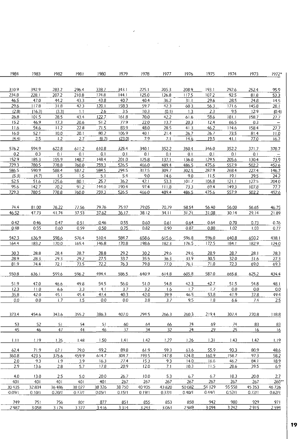| 1984          | 1983            | 1982          | 1981          | 1980          | 1979          | 1978          | 1977          | 1976          | 1975          | 1974          | 1973          | 1972*             |
|---------------|-----------------|---------------|---------------|---------------|---------------|---------------|---------------|---------------|---------------|---------------|---------------|-------------------|
|               |                 |               |               |               |               |               |               |               |               |               |               |                   |
|               |                 |               |               |               |               |               |               |               |               |               |               |                   |
| 310.9         | 392.9           | 283.2         | 296.4         | 338.7         | 343.1         | 225.1         | 205.3         | 208.9         | 193.1         | 292.6         | 252.4         | 95.9              |
| 234.8         | 228.1           | 207.2         | 210.8         | 174.8         | 144.1         | 125.0         | 126.8         | 117.5         | 107.2         | 92.5          | 81.8          | 53.3              |
| 46.5          | 47.0            | 44.2          | 43.3          | 43.8          | 40.7          | 40.4          | 36.2          | 31.1          | 29.6          | 28.5          | 24.8          | 14.5              |
| 29.6<br>(2.8) | 117.8           | 31.8          | 42.3<br>1.1   | 120.1         | 158.3<br>3.5  | 59.7          | 42.3          | 60.3<br>1.3   | 56.3<br>2.3   | 171.6<br>9.5  | 145.8<br>12.9 | 28.1              |
| 26.8          | (16.3)<br>101.5 | (3.3)<br>28.5 | 43.4          | 2.6<br>122.7  | 161.8         | 10.3<br>70.0  | (0.1)<br>42.2 | 61.6          | 58.6          | 181.1         | 158.7         | (0.4)             |
| 15.2          | 46.9            | 17.3          | 20.6          | 51.2          | 77.9          | 22.0          | 13.7          | 20.3          | 12.4          | 66.5          | 0.3           | 27.7<br>$\equiv$  |
| 11.6          | 54.6            | 11.2          | 22.8          | 71.5          | 83.9          | 48.0          | 28.5          | 41.3          | 46.2          | 114.6         | 158.4         | 27.7              |
| 16.0          | 52.1            | 10.0          | 20.1          | 80.2          | 106.9         | 40.1          | 21.4          | 26.7          | 26.7          | 73.5          | 814           | 11.0              |
| (4.4)         | 2.5             | 1.2           | 2.7           | (8.7)         | (23.0)        | 7.9           | 7.1           | 14.6          | 19.5          | 41.1          | 77.0          | 16.7              |
|               |                 |               |               |               |               |               |               |               |               |               |               |                   |
| 576.2         | 594.9           | 622.8         | 611.2         | 610.8         | 325.4         | 340.1         | 352.2         | 350.4         | 346.0         | 352.2         | 371.7         | 378.7             |
| 0.2           | 0.3             | 0.1           | 0.1           | 0.1           | 0.1           | 0.1           | 0.1           | 0.1           | 0.1           | 0.1           | 0.1           | $\qquad \qquad -$ |
| 152.9         | 185.3           | 155.9         | 148.7         | 148.4         | 201.0         | 125.8         | 137.1         | 136.0         | 129.5         | 205.6         | 130.4         | 73.9              |
| 729.3         | 780.5           | 778.8         | 760.0         | 759.3         | 526.5         | 466.0         | 489.4         | 486.5         | 475.6         | 557.9         | 502.2         | 452.6             |
| 586.5         | 590.9           | 588.4         | 587.2         | 584.5         | 294.5         | 317.5         | 309.7         | 302.5         | 287.9         | 268.4         | 227.4         | 146.7             |
| (5.3)         | (4.7)           | 1.5           | 1.5           | 5.1           | 5.4           | 9.0           | 14.6          | 9.0           | 11.5          | 19.1          | 39.5          | 24.2              |
| 52.5          | 51.6            | 125.6         | 80.1          | 25.7          | 36.2          | 42.1          | 53.3          | 101.7         | 106.8         | 121.1         | 127.5         | 204.0             |
| 95.6          | 142.7           | 70.2          | 91.2          | 144.0         | 190.4         | 97.4          | 111.8         | 73.3          | 69.4          | 149.3         | 107.8         | 77.7              |
| 729.3         | 780.5           | 778.8         | 760.0         | 759.3         | 526.5         | 466.0         | 489.4         | 486.5         | 475.6         | 557.9         | 502.2         | 452.6             |
|               |                 |               |               |               |               |               |               |               |               |               |               |                   |
|               |                 |               |               |               |               |               |               |               |               |               |               |                   |
| 74.4          | 81.00           | 76.22         | 77.56         | 79.76         | 75.97         | 79.05         | 70,79         | 58.54         | 56.40         | 56.00         | 56.65         | 46.75             |
| 46.52         | 47.73           | 41.74         | 37.53         | 37.62         | 36.17         | 38.12         | 34.11         | 31.21         | 31.08         | 30.14         | 29.14         | 21.89             |
|               |                 |               |               |               |               |               |               |               |               |               |               |                   |
| 0.42          | 0.46<br>0.55    | 0.47          | 0.51          | 0.46          | 0.55          | 0.60          | 0.61          | 0.64          | 0.64          | 0.70          | 0.73          | 0.76              |
| 0.48          |                 | 0.60          | 0.59          | 0.50          | 0.75          | 0.82          | 0.90          | 0.87          | 0.80          | 1.02          | 1.03          | 0.77              |
| 542.3         | 636.9           | 598.6         | 576.4         | 510.4         | 584.7         | 658.6         | 615.6         | 596.8         | 596.0         | 640.8         | 650.2         | 438.1             |
| 164.4         | 183.2           | 170.0         | 165.4         | 146.8         | 170.8         | 198.6         | 182.3         | 176.5         | 172.5         | 184.1         | 182.9         | 124.0             |
|               |                 |               |               |               |               |               |               |               |               |               |               |                   |
| 30.3          | 28.8            | 28.4          | 28.7          | 28.8          | <u>29.2</u>   | 30.2          | 29.6          | 29.6          | 28.9          | 28.7          | 28.1          | 28.3              |
| 28.9          | 28.3            | 29.3          | 29.2          | 27.5          | 33.7          | 35.5          | 36.3          | 33.9          | 30.5          | 32.0          | 31.6          | 27.3              |
| 81.9          | 744             | 72.1          | 73.5          | 72.2          | 76.3          | 79.8          | 77.0          | 76.1          | 71.0          | 72.3          | 69.0          | 69.3              |
|               |                 |               |               |               |               |               |               |               |               |               |               |                   |
| 550.8         | 636.1           | 599.6         | 596.2         | 494.4         | 586.5         | 640.9         | 614.8         | 605.8         | 587.0         | 665.8         | 625.2         | 434.4             |
|               |                 |               |               |               |               |               |               |               |               |               |               |                   |
| 51.9          | 47.0            | 46.6          | 49.8          | 54.5          | 56.0          | 51.0          | 54.8          | 42.3          | 42.7          | 51.5          | 54.8          | 48.1              |
| 12.3          | 11.0            | 6.6           | 3.3           | 4.1           | 3.7           | 3.2           | 1.6           | 1.7           | 1.7           | 0.0           | 0.0           | 0.0               |
| 35.8          | 42.0            | 45.1          | 45.4          | 41.4          | 40.3          | 42.0          | 39.9          | 46.5          | 53.8          | 41.9          | 37.8          | 49.4              |
| $0.0\,$       | 0.0             | 1.7           | 1.5           | $0.0\,$       | $0.0\,$       | 3.8           | 3.7           | 9.5           | 1.8           | 6.6           | 7.4           | 2.5               |
|               |                 |               |               |               |               |               |               |               |               |               |               |                   |
| 373.4         | 454.6           | 343.6         | 355.2         | 386.3         | 407.0         | 294.5         | 266.3         | 260.3         | 219.4         | 307.4         | 270.8         | 118.8             |
|               |                 |               |               |               |               |               |               |               |               |               |               |                   |
| 53            | 52              | 51            | 54            | 51            | 60            | 64            | 66            | 74            | 69            | 74            | 83            | 83                |
| 45            | 46              | 47            | 44            | 46            | 37            | 34            | 32            | 24            | <u>29</u>     | 25            | 16            | 16                |
|               |                 |               |               |               |               |               |               |               |               |               |               |                   |
| 1.11          | 1.19            | 1.35          | 1.48          | 1.50          | 1.41          | 1.42          | 1.27          | 1.26          | 1.31          | 1.43          | 1.42          | 1.19              |
|               |                 |               |               |               |               |               |               |               |               |               |               |                   |
| 62.4<br>360.8 | 71.9<br>423.5   | 67.1<br>375.6 | 79.0<br>459.9 | 99.2<br>614.7 | 89.8<br>304.7 | 61.9<br>193.5 | 59.3<br>147.8 | 63.6<br>124.8 | 55.9<br>160.9 | 93.3<br>158.7 | 80.9<br>97.3  | 48.6<br>58.2      |
|               |                 |               |               |               |               |               |               |               | 16.6          |               |               |                   |
| 2.0<br>2.9    | 9.3<br>13.6     | 1.9<br>2.8    | 3.9<br>5.7    | 16.3<br>17.8  | 27.4<br>20.9  | 15.3<br>12.0  | 9.3<br>7.1    | 14.0<br>10.3  | 11.5          | 46.2<br>28.6  | 84.1<br>39.5  | 18.9<br>6.9       |
|               |                 |               |               |               |               |               |               |               |               |               |               |                   |
| 4.0           | 13.0            | 2.5           | 5.0           | 20.0          | 26.7          | 10.0          | 5.3           | 6.7           | 6.7           | 18.3          | 20.0          | 2.7               |
| 401           | 401             | 401           | 401           | 401           | 267           | 267           | 267           | 267           | 267           | 267           | 267           | 260**             |
| 30435         | 32834           | 36 486        | 38027         | 38 3 26       | 38 750        | 40 935        | 43820         | 50 082        | 54 129        | 55 558        | 45 3 53       | 46 726            |
| $-0.09/1$     | 0.10/1          | 0.201         | 0.17/1        | 0.05/1        | 0.15/1        | 0.19/1        | 0.37/1        | 0.40/1        | 0.44/1        | 0.52/1        | 0.72/1        | 0.62/1            |
|               |                 |               |               |               |               |               |               |               |               |               |               |                   |
| 749           | 751             | 756           | 801           | 877           | 851           | 855           | 853           | 858           | 942           | 980           | 929           | 971               |
| 2987          | 3058            | 3174          | 3377          | 3416          | 3314          | 3 2 4 3       | 3063          | 2989          | 3094          | 3 2 4 2       | 2915          | 2594              |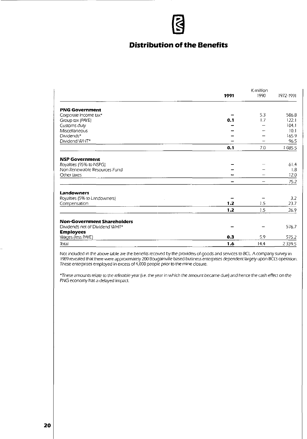# **Distribution of the Benefits**

|                                    |      | K million |           |  |
|------------------------------------|------|-----------|-----------|--|
|                                    | 1991 | 1990      | 1972-1991 |  |
| <b>PNG Government</b>              |      |           |           |  |
| Corporate income tax*              |      | 5.3       | 586.8     |  |
| Group tax (PAYE)                   | 0.1  | 1.7       | 122.1     |  |
| Customs duty                       |      |           | 104.1     |  |
| Miscellaneous                      |      |           | 10.1      |  |
| Dividends*                         |      |           | 165.9     |  |
| Dividend WHT*                      |      |           | 96.5      |  |
|                                    | 0.1  | 7.0       | 1085.5    |  |
| <b>NSP Government</b>              |      |           |           |  |
| Royalties (95% to NSPG)            |      |           | 61.4      |  |
| Non Renewable Resources Fund       |      |           | 1.8       |  |
| Other taxes                        |      |           | 12.0      |  |
|                                    |      |           | 75.2      |  |
| Landowners                         |      |           |           |  |
| Royalties (5% to Landowners)       |      |           | 3.2       |  |
| Compensation                       | 1.2  | 1.5       | 23.7      |  |
|                                    | 1.2  | 1.5       | 26.9      |  |
| <b>Non-Government Shareholders</b> |      |           |           |  |
| Dividends net of Dividend WHT*     |      |           | 576.7     |  |
| <b>Employees</b>                   |      |           |           |  |
| Wages (less PAYE)                  | 0.3  | 5.9       | 575.2     |  |
| Total                              | 1.6  | 14.4      | 2339.5    |  |

Not included in the above table are the benefits received by the providers of goods and services to BCL. A company survey in 1989 revealed that there were approximately 200 BougainviJIe based business enterprises dependent largely upon BCL's operation. These enterprises employed in excess of 4,000 people prior to the mine closure.

\*These amounts relate to the referable year (i.e. the year in which the amount became due) and hence the cash effect on the PNG economy has a delayed impact.